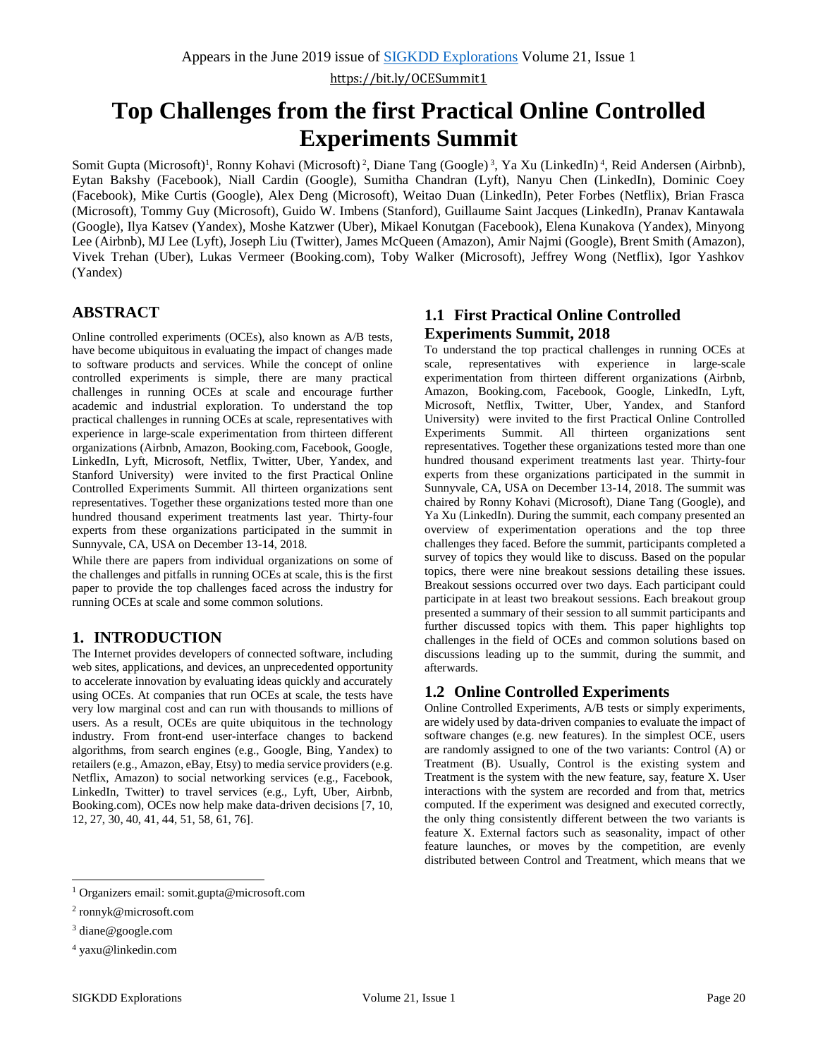# **Top Challenges from the first Practical Online Controlled Experiments Summit**

Somit Gupta (Microsoft)<sup>1</sup>, Ronny Kohavi (Microsoft)<sup>2</sup>, Diane Tang (Google)<sup>3</sup>, Ya Xu (LinkedIn)<sup>4</sup>, Reid Andersen (Airbnb), Eytan Bakshy (Facebook), Niall Cardin (Google), Sumitha Chandran (Lyft), Nanyu Chen (LinkedIn), Dominic Coey (Facebook), Mike Curtis (Google), Alex Deng (Microsoft), Weitao Duan (LinkedIn), Peter Forbes (Netflix), Brian Frasca (Microsoft), Tommy Guy (Microsoft), Guido W. Imbens (Stanford), Guillaume Saint Jacques (LinkedIn), Pranav Kantawala (Google), Ilya Katsev (Yandex), Moshe Katzwer (Uber), Mikael Konutgan (Facebook), Elena Kunakova (Yandex), Minyong Lee (Airbnb), MJ Lee (Lyft), Joseph Liu (Twitter), James McQueen (Amazon), Amir Najmi (Google), Brent Smith (Amazon), Vivek Trehan (Uber), Lukas Vermeer (Booking.com), Toby Walker (Microsoft), Jeffrey Wong (Netflix), Igor Yashkov (Yandex)

## **ABSTRACT**

Online controlled experiments (OCEs), also known as A/B tests, have become ubiquitous in evaluating the impact of changes made to software products and services. While the concept of online controlled experiments is simple, there are many practical challenges in running OCEs at scale and encourage further academic and industrial exploration. To understand the top practical challenges in running OCEs at scale, representatives with experience in large-scale experimentation from thirteen different organizations (Airbnb, Amazon, Booking.com, Facebook, Google, LinkedIn, Lyft, Microsoft, Netflix, Twitter, Uber, Yandex, and Stanford University) were invited to the first Practical Online Controlled Experiments Summit. All thirteen organizations sent representatives. Together these organizations tested more than one hundred thousand experiment treatments last year. Thirty-four experts from these organizations participated in the summit in Sunnyvale, CA, USA on December 13-14, 2018.

While there are papers from individual organizations on some of the challenges and pitfalls in running OCEs at scale, this is the first paper to provide the top challenges faced across the industry for running OCEs at scale and some common solutions.

## **1. INTRODUCTION**

The Internet provides developers of connected software, including web sites, applications, and devices, an unprecedented opportunity to accelerate innovation by evaluating ideas quickly and accurately using OCEs. At companies that run OCEs at scale, the tests have very low marginal cost and can run with thousands to millions of users. As a result, OCEs are quite ubiquitous in the technology industry. From front-end user-interface changes to backend algorithms, from search engines (e.g., Google, Bing, Yandex) to retailers (e.g., Amazon, eBay, Etsy) to media service providers (e.g. Netflix, Amazon) to social networking services (e.g., Facebook, LinkedIn, Twitter) to travel services (e.g., Lyft, Uber, Airbnb, Booking.com), OCEs now help make data-driven decisions [7, 10, 12, 27, 30, 40, 41, 44, 51, 58, 61, 76].

## **1.1 First Practical Online Controlled Experiments Summit, 2018**

To understand the top practical challenges in running OCEs at scale, representatives with experience in large-scale experimentation from thirteen different organizations (Airbnb, Amazon, Booking.com, Facebook, Google, LinkedIn, Lyft, Microsoft, Netflix, Twitter, Uber, Yandex, and Stanford University) were invited to the first Practical Online Controlled Experiments Summit. All thirteen organizations sent representatives. Together these organizations tested more than one hundred thousand experiment treatments last year. Thirty-four experts from these organizations participated in the summit in Sunnyvale, CA, USA on December 13-14, 2018. The summit was chaired by Ronny Kohavi (Microsoft), Diane Tang (Google), and Ya Xu (LinkedIn). During the summit, each company presented an overview of experimentation operations and the top three challenges they faced. Before the summit, participants completed a survey of topics they would like to discuss. Based on the popular topics, there were nine breakout sessions detailing these issues. Breakout sessions occurred over two days. Each participant could participate in at least two breakout sessions. Each breakout group presented a summary of their session to all summit participants and further discussed topics with them. This paper highlights top challenges in the field of OCEs and common solutions based on discussions leading up to the summit, during the summit, and afterwards.

## **1.2 Online Controlled Experiments**

Online Controlled Experiments, A/B tests or simply experiments, are widely used by data-driven companies to evaluate the impact of software changes (e.g. new features). In the simplest OCE, users are randomly assigned to one of the two variants: Control (A) or Treatment (B). Usually, Control is the existing system and Treatment is the system with the new feature, say, feature X. User interactions with the system are recorded and from that, metrics computed. If the experiment was designed and executed correctly, the only thing consistently different between the two variants is feature X. External factors such as seasonality, impact of other feature launches, or moves by the competition, are evenly distributed between Control and Treatment, which means that we

 $\overline{a}$ <sup>1</sup> Organizers email: somit.gupta@microsoft.com

<sup>2</sup> ronnyk@microsoft.com

<sup>3</sup> diane@google.com

<sup>4</sup> yaxu@linkedin.com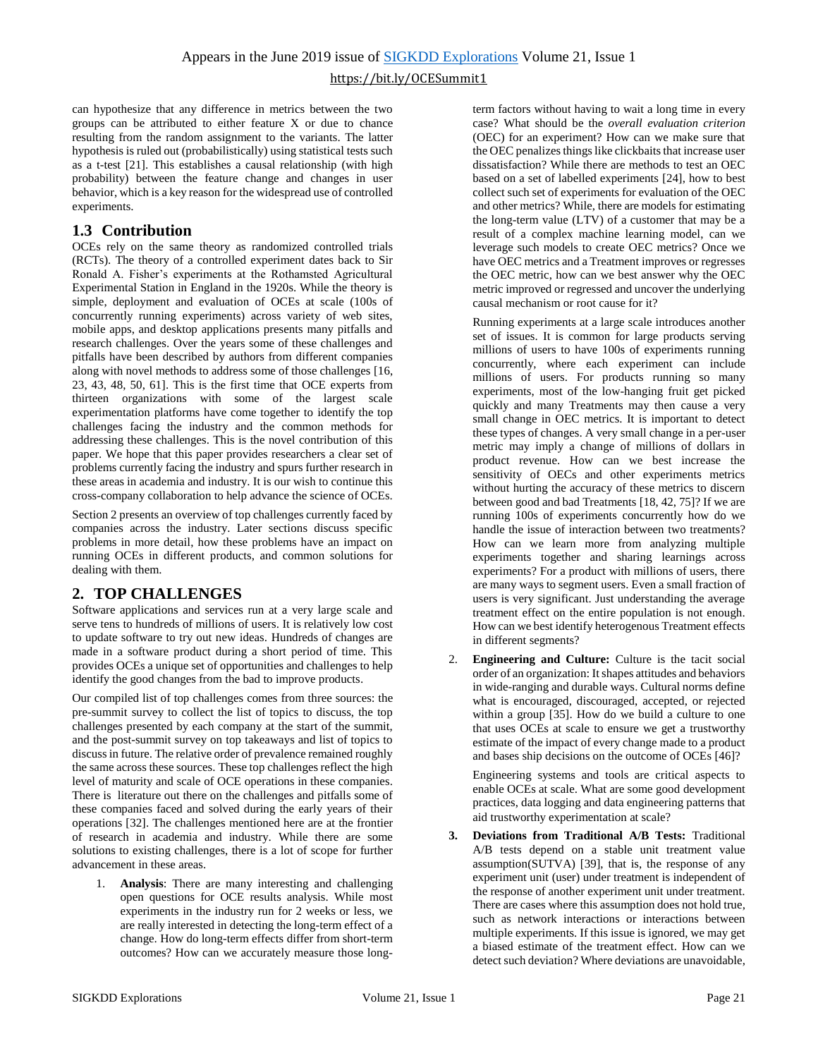can hypothesize that any difference in metrics between the two groups can be attributed to either feature X or due to chance resulting from the random assignment to the variants. The latter hypothesis is ruled out (probabilistically) using statistical tests such as a t-test [21]. This establishes a causal relationship (with high probability) between the feature change and changes in user behavior, which is a key reason for the widespread use of controlled experiments.

## **1.3 Contribution**

OCEs rely on the same theory as randomized controlled trials (RCTs). The theory of a controlled experiment dates back to Sir Ronald A. Fisher's experiments at the Rothamsted Agricultural Experimental Station in England in the 1920s. While the theory is simple, deployment and evaluation of OCEs at scale (100s of concurrently running experiments) across variety of web sites, mobile apps, and desktop applications presents many pitfalls and research challenges. Over the years some of these challenges and pitfalls have been described by authors from different companies along with novel methods to address some of those challenges [16, 23, 43, 48, 50, 61]. This is the first time that OCE experts from thirteen organizations with some of the largest scale experimentation platforms have come together to identify the top challenges facing the industry and the common methods for addressing these challenges. This is the novel contribution of this paper. We hope that this paper provides researchers a clear set of problems currently facing the industry and spurs further research in these areas in academia and industry. It is our wish to continue this cross-company collaboration to help advance the science of OCEs.

Section 2 presents an overview of top challenges currently faced by companies across the industry. Later sections discuss specific problems in more detail, how these problems have an impact on running OCEs in different products, and common solutions for dealing with them.

## **2. TOP CHALLENGES**

Software applications and services run at a very large scale and serve tens to hundreds of millions of users. It is relatively low cost to update software to try out new ideas. Hundreds of changes are made in a software product during a short period of time. This provides OCEs a unique set of opportunities and challenges to help identify the good changes from the bad to improve products.

Our compiled list of top challenges comes from three sources: the pre-summit survey to collect the list of topics to discuss, the top challenges presented by each company at the start of the summit, and the post-summit survey on top takeaways and list of topics to discuss in future. The relative order of prevalence remained roughly the same across these sources. These top challenges reflect the high level of maturity and scale of OCE operations in these companies. There is literature out there on the challenges and pitfalls some of these companies faced and solved during the early years of their operations [32]. The challenges mentioned here are at the frontier of research in academia and industry. While there are some solutions to existing challenges, there is a lot of scope for further advancement in these areas.

1. **Analysis**: There are many interesting and challenging open questions for OCE results analysis. While most experiments in the industry run for 2 weeks or less, we are really interested in detecting the long-term effect of a change. How do long-term effects differ from short-term outcomes? How can we accurately measure those longterm factors without having to wait a long time in every case? What should be the *overall evaluation criterion* (OEC) for an experiment? How can we make sure that the OEC penalizes things like clickbaits that increase user dissatisfaction? While there are methods to test an OEC based on a set of labelled experiments [24], how to best collect such set of experiments for evaluation of the OEC and other metrics? While, there are models for estimating the long-term value (LTV) of a customer that may be a result of a complex machine learning model, can we leverage such models to create OEC metrics? Once we have OEC metrics and a Treatment improves or regresses the OEC metric, how can we best answer why the OEC metric improved or regressed and uncover the underlying causal mechanism or root cause for it?

Running experiments at a large scale introduces another set of issues. It is common for large products serving millions of users to have 100s of experiments running concurrently, where each experiment can include millions of users. For products running so many experiments, most of the low-hanging fruit get picked quickly and many Treatments may then cause a very small change in OEC metrics. It is important to detect these types of changes. A very small change in a per-user metric may imply a change of millions of dollars in product revenue. How can we best increase the sensitivity of OECs and other experiments metrics without hurting the accuracy of these metrics to discern between good and bad Treatments [18, 42, 75]? If we are running 100s of experiments concurrently how do we handle the issue of interaction between two treatments? How can we learn more from analyzing multiple experiments together and sharing learnings across experiments? For a product with millions of users, there are many ways to segment users. Even a small fraction of users is very significant. Just understanding the average treatment effect on the entire population is not enough. How can we best identify heterogenous Treatment effects in different segments?

2. **Engineering and Culture:** Culture is the tacit social order of an organization: It shapes attitudes and behaviors in wide-ranging and durable ways. Cultural norms define what is encouraged, discouraged, accepted, or rejected within a group [35]. How do we build a culture to one that uses OCEs at scale to ensure we get a trustworthy estimate of the impact of every change made to a product and bases ship decisions on the outcome of OCEs [46]?

Engineering systems and tools are critical aspects to enable OCEs at scale. What are some good development practices, data logging and data engineering patterns that aid trustworthy experimentation at scale?

**3. Deviations from Traditional A/B Tests:** Traditional A/B tests depend on a stable unit treatment value assumption(SUTVA) [39], that is, the response of any experiment unit (user) under treatment is independent of the response of another experiment unit under treatment. There are cases where this assumption does not hold true, such as network interactions or interactions between multiple experiments. If this issue is ignored, we may get a biased estimate of the treatment effect. How can we detect such deviation? Where deviations are unavoidable,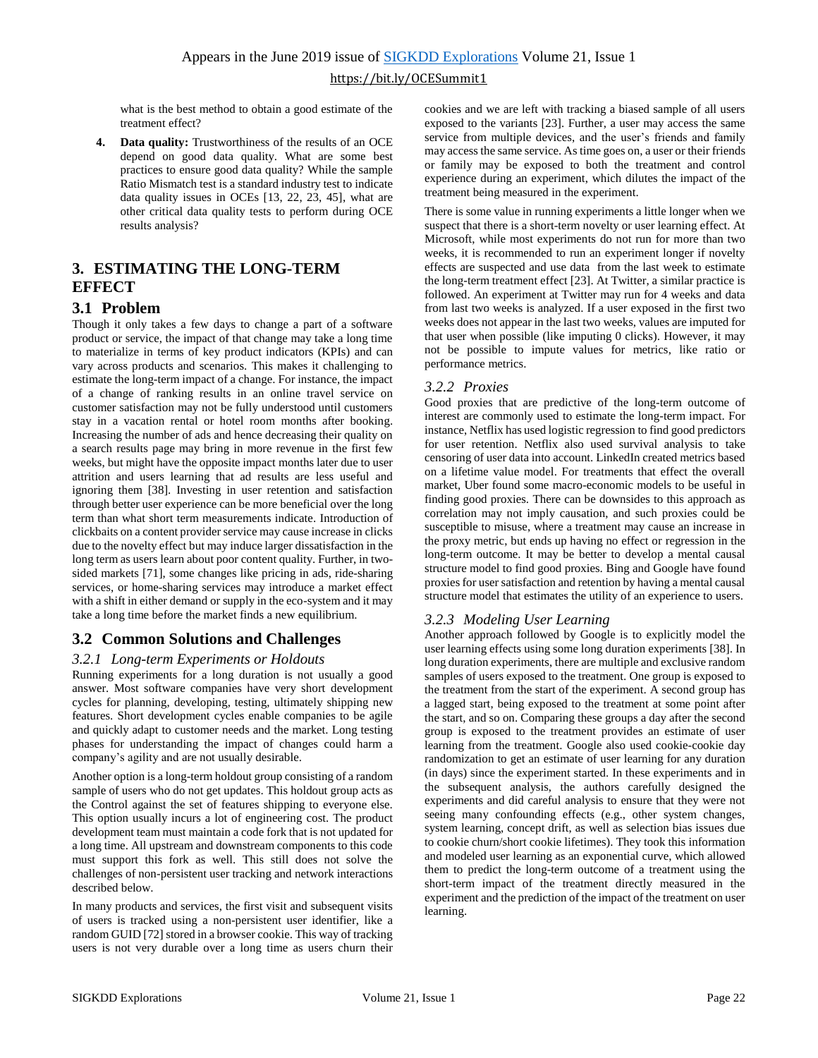what is the best method to obtain a good estimate of the treatment effect?

**4. Data quality:** Trustworthiness of the results of an OCE depend on good data quality. What are some best practices to ensure good data quality? While the sample Ratio Mismatch test is a standard industry test to indicate data quality issues in OCEs [13, 22, 23, 45], what are other critical data quality tests to perform during OCE results analysis?

## <span id="page-2-0"></span>**3. ESTIMATING THE LONG-TERM EFFECT**

#### **3.1 Problem**

Though it only takes a few days to change a part of a software product or service, the impact of that change may take a long time to materialize in terms of key product indicators (KPIs) and can vary across products and scenarios. This makes it challenging to estimate the long-term impact of a change. For instance, the impact of a change of ranking results in an online travel service on customer satisfaction may not be fully understood until customers stay in a vacation rental or hotel room months after booking. Increasing the number of ads and hence decreasing their quality on a search results page may bring in more revenue in the first few weeks, but might have the opposite impact months later due to user attrition and users learning that ad results are less useful and ignoring them [38]. Investing in user retention and satisfaction through better user experience can be more beneficial over the long term than what short term measurements indicate. Introduction of clickbaits on a content provider service may cause increase in clicks due to the novelty effect but may induce larger dissatisfaction in the long term as users learn about poor content quality. Further, in twosided markets [71], some changes like pricing in ads, ride-sharing services, or home-sharing services may introduce a market effect with a shift in either demand or supply in the eco-system and it may take a long time before the market finds a new equilibrium.

#### **3.2 Common Solutions and Challenges**

#### *3.2.1 Long-term Experiments or Holdouts*

Running experiments for a long duration is not usually a good answer. Most software companies have very short development cycles for planning, developing, testing, ultimately shipping new features. Short development cycles enable companies to be agile and quickly adapt to customer needs and the market. Long testing phases for understanding the impact of changes could harm a company's agility and are not usually desirable.

Another option is a long-term holdout group consisting of a random sample of users who do not get updates. This holdout group acts as the Control against the set of features shipping to everyone else. This option usually incurs a lot of engineering cost. The product development team must maintain a code fork that is not updated for a long time. All upstream and downstream components to this code must support this fork as well. This still does not solve the challenges of non-persistent user tracking and network interactions described below.

In many products and services, the first visit and subsequent visits of users is tracked using a non-persistent user identifier, like a random GUID [72] stored in a browser cookie. This way of tracking users is not very durable over a long time as users churn their cookies and we are left with tracking a biased sample of all users exposed to the variants [23]. Further, a user may access the same service from multiple devices, and the user's friends and family may access the same service. As time goes on, a user or their friends or family may be exposed to both the treatment and control experience during an experiment, which dilutes the impact of the treatment being measured in the experiment.

There is some value in running experiments a little longer when we suspect that there is a short-term novelty or user learning effect. At Microsoft, while most experiments do not run for more than two weeks, it is recommended to run an experiment longer if novelty effects are suspected and use data from the last week to estimate the long-term treatment effect [23]. At Twitter, a similar practice is followed. An experiment at Twitter may run for 4 weeks and data from last two weeks is analyzed. If a user exposed in the first two weeks does not appear in the last two weeks, values are imputed for that user when possible (like imputing 0 clicks). However, it may not be possible to impute values for metrics, like ratio or performance metrics.

#### *3.2.2 Proxies*

Good proxies that are predictive of the long-term outcome of interest are commonly used to estimate the long-term impact. For instance, Netflix has used logistic regression to find good predictors for user retention. Netflix also used survival analysis to take censoring of user data into account. LinkedIn created metrics based on a lifetime value model. For treatments that effect the overall market, Uber found some macro-economic models to be useful in finding good proxies. There can be downsides to this approach as correlation may not imply causation, and such proxies could be susceptible to misuse, where a treatment may cause an increase in the proxy metric, but ends up having no effect or regression in the long-term outcome. It may be better to develop a mental causal structure model to find good proxies. Bing and Google have found proxies for user satisfaction and retention by having a mental causal structure model that estimates the utility of an experience to users.

#### *3.2.3 Modeling User Learning*

Another approach followed by Google is to explicitly model the user learning effects using some long duration experiments [38]. In long duration experiments, there are multiple and exclusive random samples of users exposed to the treatment. One group is exposed to the treatment from the start of the experiment. A second group has a lagged start, being exposed to the treatment at some point after the start, and so on. Comparing these groups a day after the second group is exposed to the treatment provides an estimate of user learning from the treatment. Google also used cookie-cookie day randomization to get an estimate of user learning for any duration (in days) since the experiment started. In these experiments and in the subsequent analysis, the authors carefully designed the experiments and did careful analysis to ensure that they were not seeing many confounding effects (e.g., other system changes, system learning, concept drift, as well as selection bias issues due to cookie churn/short cookie lifetimes). They took this information and modeled user learning as an exponential curve, which allowed them to predict the long-term outcome of a treatment using the short-term impact of the treatment directly measured in the experiment and the prediction of the impact of the treatment on user learning.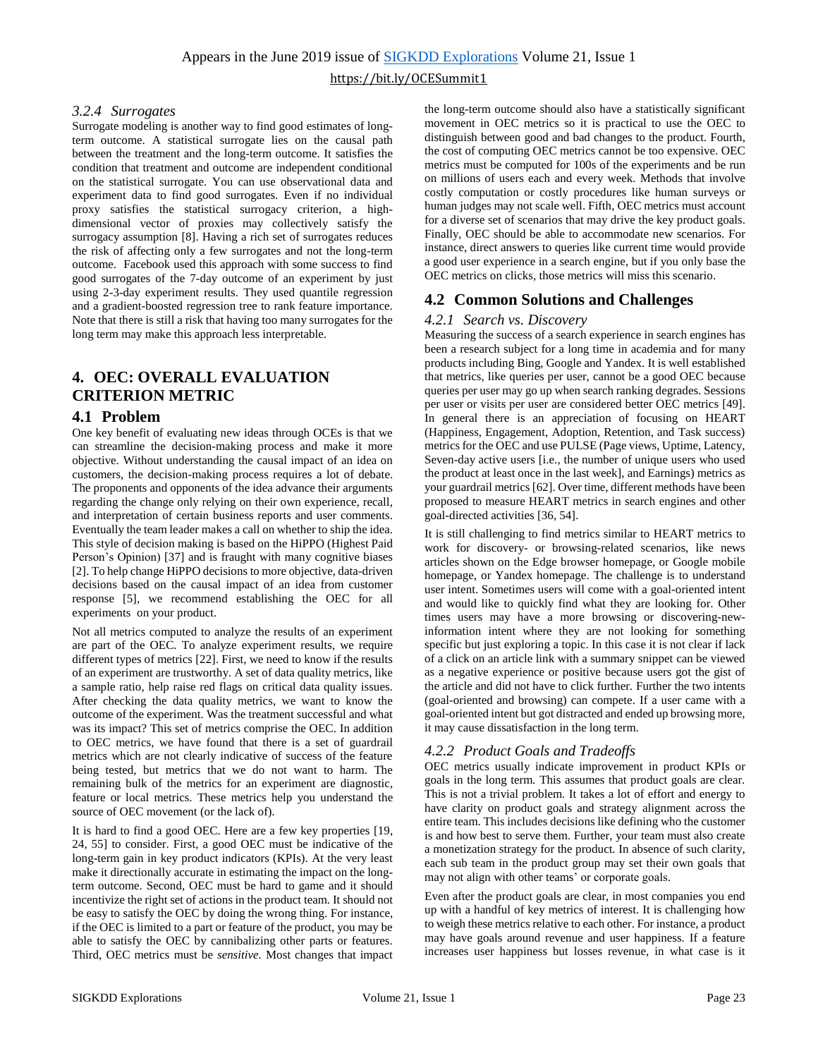#### *3.2.4 Surrogates*

Surrogate modeling is another way to find good estimates of longterm outcome. A statistical surrogate lies on the causal path between the treatment and the long-term outcome. It satisfies the condition that treatment and outcome are independent conditional on the statistical surrogate. You can use observational data and experiment data to find good surrogates. Even if no individual proxy satisfies the statistical surrogacy criterion, a highdimensional vector of proxies may collectively satisfy the surrogacy assumption [8]. Having a rich set of surrogates reduces the risk of affecting only a few surrogates and not the long-term outcome. Facebook used this approach with some success to find good surrogates of the 7-day outcome of an experiment by just using 2-3-day experiment results. They used quantile regression and a gradient-boosted regression tree to rank feature importance. Note that there is still a risk that having too many surrogates for the long term may make this approach less interpretable.

## **4. OEC: OVERALL EVALUATION CRITERION METRIC**

#### **4.1 Problem**

One key benefit of evaluating new ideas through OCEs is that we can streamline the decision-making process and make it more objective. Without understanding the causal impact of an idea on customers, the decision-making process requires a lot of debate. The proponents and opponents of the idea advance their arguments regarding the change only relying on their own experience, recall, and interpretation of certain business reports and user comments. Eventually the team leader makes a call on whether to ship the idea. This style of decision making is based on the HiPPO (Highest Paid Person's Opinion) [37] and is fraught with many cognitive biases [2]. To help change HiPPO decisions to more objective, data-driven decisions based on the causal impact of an idea from customer response [5], we recommend establishing the OEC for all experiments on your product.

Not all metrics computed to analyze the results of an experiment are part of the OEC. To analyze experiment results, we require different types of metrics [22]. First, we need to know if the results of an experiment are trustworthy. A set of data quality metrics, like a sample ratio, help raise red flags on critical data quality issues. After checking the data quality metrics, we want to know the outcome of the experiment. Was the treatment successful and what was its impact? This set of metrics comprise the OEC. In addition to OEC metrics, we have found that there is a set of guardrail metrics which are not clearly indicative of success of the feature being tested, but metrics that we do not want to harm. The remaining bulk of the metrics for an experiment are diagnostic, feature or local metrics. These metrics help you understand the source of OEC movement (or the lack of).

It is hard to find a good OEC. Here are a few key properties [19, 24, 55] to consider. First, a good OEC must be indicative of the long-term gain in key product indicators (KPIs). At the very least make it directionally accurate in estimating the impact on the longterm outcome. Second, OEC must be hard to game and it should incentivize the right set of actions in the product team. It should not be easy to satisfy the OEC by doing the wrong thing. For instance, if the OEC is limited to a part or feature of the product, you may be able to satisfy the OEC by cannibalizing other parts or features. Third, OEC metrics must be *sensitive*. Most changes that impact

the long-term outcome should also have a statistically significant movement in OEC metrics so it is practical to use the OEC to distinguish between good and bad changes to the product. Fourth, the cost of computing OEC metrics cannot be too expensive. OEC metrics must be computed for 100s of the experiments and be run on millions of users each and every week. Methods that involve costly computation or costly procedures like human surveys or human judges may not scale well. Fifth, OEC metrics must account for a diverse set of scenarios that may drive the key product goals. Finally, OEC should be able to accommodate new scenarios. For instance, direct answers to queries like current time would provide a good user experience in a search engine, but if you only base the OEC metrics on clicks, those metrics will miss this scenario.

### **4.2 Common Solutions and Challenges**

#### *4.2.1 Search vs. Discovery*

Measuring the success of a search experience in search engines has been a research subject for a long time in academia and for many products including Bing, Google and Yandex. It is well established that metrics, like queries per user, cannot be a good OEC because queries per user may go up when search ranking degrades. Sessions per user or visits per user are considered better OEC metrics [49]. In general there is an appreciation of focusing on HEART (Happiness, Engagement, Adoption, Retention, and Task success) metrics for the OEC and use PULSE (Page views, Uptime, Latency, Seven-day active users [i.e., the number of unique users who used the product at least once in the last week], and Earnings) metrics as your guardrail metrics [62]. Over time, different methods have been proposed to measure HEART metrics in search engines and other goal-directed activities [36, 54].

It is still challenging to find metrics similar to HEART metrics to work for discovery- or browsing-related scenarios, like news articles shown on the Edge browser homepage, or Google mobile homepage, or Yandex homepage. The challenge is to understand user intent. Sometimes users will come with a goal-oriented intent and would like to quickly find what they are looking for. Other times users may have a more browsing or discovering-newinformation intent where they are not looking for something specific but just exploring a topic. In this case it is not clear if lack of a click on an article link with a summary snippet can be viewed as a negative experience or positive because users got the gist of the article and did not have to click further. Further the two intents (goal-oriented and browsing) can compete. If a user came with a goal-oriented intent but got distracted and ended up browsing more, it may cause dissatisfaction in the long term.

#### *4.2.2 Product Goals and Tradeoffs*

OEC metrics usually indicate improvement in product KPIs or goals in the long term. This assumes that product goals are clear. This is not a trivial problem. It takes a lot of effort and energy to have clarity on product goals and strategy alignment across the entire team. This includes decisions like defining who the customer is and how best to serve them. Further, your team must also create a monetization strategy for the product. In absence of such clarity, each sub team in the product group may set their own goals that may not align with other teams' or corporate goals.

Even after the product goals are clear, in most companies you end up with a handful of key metrics of interest. It is challenging how to weigh these metrics relative to each other. For instance, a product may have goals around revenue and user happiness. If a feature increases user happiness but losses revenue, in what case is it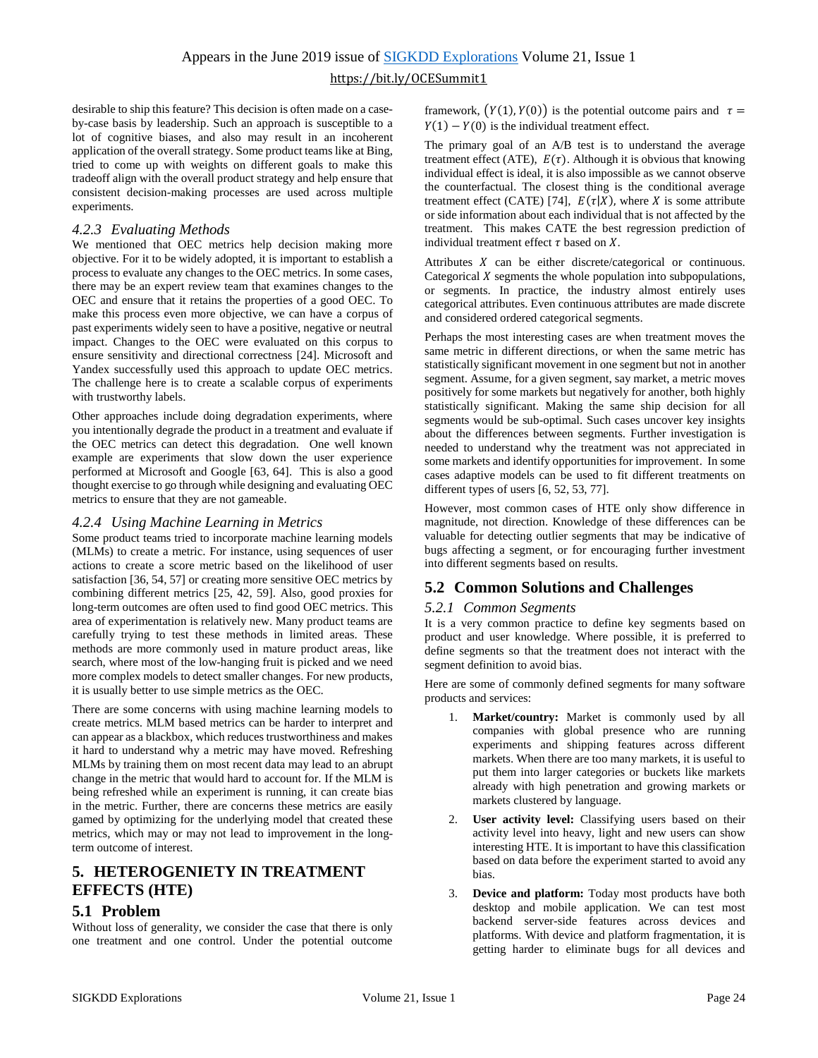desirable to ship this feature? This decision is often made on a caseby-case basis by leadership. Such an approach is susceptible to a lot of cognitive biases, and also may result in an incoherent application of the overall strategy. Some product teams like at Bing, tried to come up with weights on different goals to make this tradeoff align with the overall product strategy and help ensure that consistent decision-making processes are used across multiple experiments.

#### *4.2.3 Evaluating Methods*

We mentioned that OEC metrics help decision making more objective. For it to be widely adopted, it is important to establish a process to evaluate any changes to the OEC metrics. In some cases, there may be an expert review team that examines changes to the OEC and ensure that it retains the properties of a good OEC. To make this process even more objective, we can have a corpus of past experiments widely seen to have a positive, negative or neutral impact. Changes to the OEC were evaluated on this corpus to ensure sensitivity and directional correctness [24]. Microsoft and Yandex successfully used this approach to update OEC metrics. The challenge here is to create a scalable corpus of experiments with trustworthy labels.

Other approaches include doing degradation experiments, where you intentionally degrade the product in a treatment and evaluate if the OEC metrics can detect this degradation. One well known example are experiments that slow down the user experience performed at Microsoft and Google [63, 64]. This is also a good thought exercise to go through while designing and evaluating OEC metrics to ensure that they are not gameable.

#### *4.2.4 Using Machine Learning in Metrics*

Some product teams tried to incorporate machine learning models (MLMs) to create a metric. For instance, using sequences of user actions to create a score metric based on the likelihood of user satisfaction [36, 54, 57] or creating more sensitive OEC metrics by combining different metrics [25, 42, 59]. Also, good proxies for long-term outcomes are often used to find good OEC metrics. This area of experimentation is relatively new. Many product teams are carefully trying to test these methods in limited areas. These methods are more commonly used in mature product areas, like search, where most of the low-hanging fruit is picked and we need more complex models to detect smaller changes. For new products, it is usually better to use simple metrics as the OEC.

There are some concerns with using machine learning models to create metrics. MLM based metrics can be harder to interpret and can appear as a blackbox, which reduces trustworthiness and makes it hard to understand why a metric may have moved. Refreshing MLMs by training them on most recent data may lead to an abrupt change in the metric that would hard to account for. If the MLM is being refreshed while an experiment is running, it can create bias in the metric. Further, there are concerns these metrics are easily gamed by optimizing for the underlying model that created these metrics, which may or may not lead to improvement in the longterm outcome of interest.

## <span id="page-4-0"></span>**5. HETEROGENIETY IN TREATMENT EFFECTS (HTE)**

## **5.1 Problem**

Without loss of generality, we consider the case that there is only one treatment and one control. Under the potential outcome framework,  $(Y(1), Y(0))$  is the potential outcome pairs and  $\tau =$  $Y(1) - Y(0)$  is the individual treatment effect.

The primary goal of an A/B test is to understand the average treatment effect (ATE),  $E(\tau)$ . Although it is obvious that knowing individual effect is ideal, it is also impossible as we cannot observe the counterfactual. The closest thing is the conditional average treatment effect (CATE) [74],  $E(\tau|X)$ , where X is some attribute or side information about each individual that is not affected by the treatment. This makes CATE the best regression prediction of individual treatment effect  $\tau$  based on  $X$ .

Attributes  $X$  can be either discrete/categorical or continuous. Categorical  $X$  segments the whole population into subpopulations, or segments. In practice, the industry almost entirely uses categorical attributes. Even continuous attributes are made discrete and considered ordered categorical segments.

Perhaps the most interesting cases are when treatment moves the same metric in different directions, or when the same metric has statistically significant movement in one segment but not in another segment. Assume, for a given segment, say market, a metric moves positively for some markets but negatively for another, both highly statistically significant. Making the same ship decision for all segments would be sub-optimal. Such cases uncover key insights about the differences between segments. Further investigation is needed to understand why the treatment was not appreciated in some markets and identify opportunities for improvement. In some cases adaptive models can be used to fit different treatments on different types of users [6, 52, 53, 77].

However, most common cases of HTE only show difference in magnitude, not direction. Knowledge of these differences can be valuable for detecting outlier segments that may be indicative of bugs affecting a segment, or for encouraging further investment into different segments based on results.

## **5.2 Common Solutions and Challenges**

#### *5.2.1 Common Segments*

It is a very common practice to define key segments based on product and user knowledge. Where possible, it is preferred to define segments so that the treatment does not interact with the segment definition to avoid bias.

Here are some of commonly defined segments for many software products and services:

- 1. **Market/country:** Market is commonly used by all companies with global presence who are running experiments and shipping features across different markets. When there are too many markets, it is useful to put them into larger categories or buckets like markets already with high penetration and growing markets or markets clustered by language.
- 2. **User activity level:** Classifying users based on their activity level into heavy, light and new users can show interesting HTE. It is important to have this classification based on data before the experiment started to avoid any bias.
- 3. **Device and platform:** Today most products have both desktop and mobile application. We can test most backend server-side features across devices and platforms. With device and platform fragmentation, it is getting harder to eliminate bugs for all devices and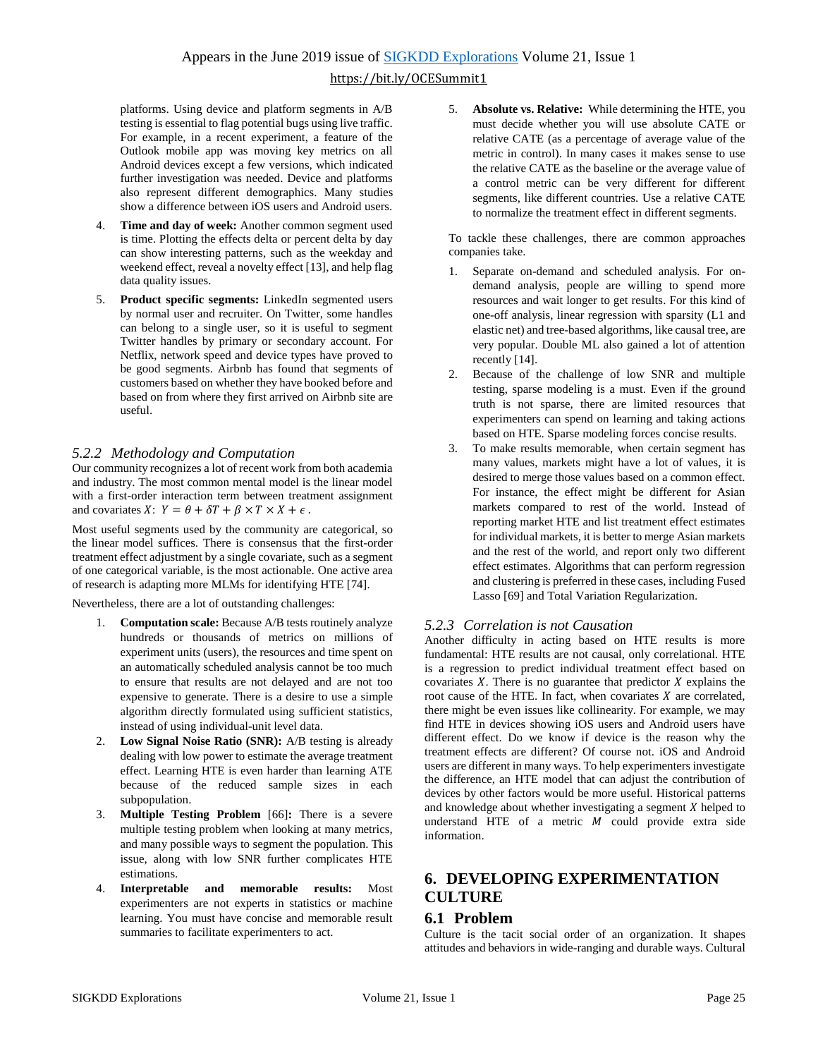platforms. Using device and platform segments in A/B testing is essential to flag potential bugs using live traffic. For example, in a recent experiment, a feature of the Outlook mobile app was moving key metrics on all Android devices except a few versions, which indicated further investigation was needed. Device and platforms also represent different demographics. Many studies show a difference between iOS users and Android users.

- Time and day of week: Another common segment used is time. Plotting the effects delta or percent delta by day can show interesting patterns, such as the weekday and weekend effect, reveal a novelty effect [13], and help flag data quality issues.
- 5. **Product specific segments:** LinkedIn segmented users by normal user and recruiter. On Twitter, some handles can belong to a single user, so it is useful to segment Twitter handles by primary or secondary account. For Netflix, network speed and device types have proved to be good segments. Airbnb has found that segments of customers based on whether they have booked before and based on from where they first arrived on Airbnb site are useful.

### *5.2.2 Methodology and Computation*

Our community recognizes a lot of recent work from both academia and industry. The most common mental model is the linear model with a first-order interaction term between treatment assignment and covariates  $X: Y = \theta + \delta T + \beta \times T \times X + \epsilon$ .

Most useful segments used by the community are categorical, so the linear model suffices. There is consensus that the first-order treatment effect adjustment by a single covariate, such as a segment of one categorical variable, is the most actionable. One active area of research is adapting more MLMs for identifying HTE [74].

Nevertheless, there are a lot of outstanding challenges:

- 1. **Computation scale:** Because A/B tests routinely analyze hundreds or thousands of metrics on millions of experiment units (users), the resources and time spent on an automatically scheduled analysis cannot be too much to ensure that results are not delayed and are not too expensive to generate. There is a desire to use a simple algorithm directly formulated using sufficient statistics, instead of using individual-unit level data.
- 2. **Low Signal Noise Ratio (SNR):** A/B testing is already dealing with low power to estimate the average treatment effect. Learning HTE is even harder than learning ATE because of the reduced sample sizes in each subpopulation.
- 3. **Multiple Testing Problem** [66]**:** There is a severe multiple testing problem when looking at many metrics, and many possible ways to segment the population. This issue, along with low SNR further complicates HTE estimations.
- 4. **Interpretable and memorable results:** Most experimenters are not experts in statistics or machine learning. You must have concise and memorable result summaries to facilitate experimenters to act.

5. **Absolute vs. Relative:** While determining the HTE, you must decide whether you will use absolute CATE or relative CATE (as a percentage of average value of the metric in control). In many cases it makes sense to use the relative CATE as the baseline or the average value of a control metric can be very different for different segments, like different countries. Use a relative CATE to normalize the treatment effect in different segments.

To tackle these challenges, there are common approaches companies take.

- 1. Separate on-demand and scheduled analysis. For ondemand analysis, people are willing to spend more resources and wait longer to get results. For this kind of one-off analysis, linear regression with sparsity (L1 and elastic net) and tree-based algorithms, like causal tree, are very popular. Double ML also gained a lot of attention recently [14].
- 2. Because of the challenge of low SNR and multiple testing, sparse modeling is a must. Even if the ground truth is not sparse, there are limited resources that experimenters can spend on learning and taking actions based on HTE. Sparse modeling forces concise results.
- 3. To make results memorable, when certain segment has many values, markets might have a lot of values, it is desired to merge those values based on a common effect. For instance, the effect might be different for Asian markets compared to rest of the world. Instead of reporting market HTE and list treatment effect estimates for individual markets, it is better to merge Asian markets and the rest of the world, and report only two different effect estimates. Algorithms that can perform regression and clustering is preferred in these cases, including Fused Lasso [69] and Total Variation Regularization.

#### *5.2.3 Correlation is not Causation*

Another difficulty in acting based on HTE results is more fundamental: HTE results are not causal, only correlational. HTE is a regression to predict individual treatment effect based on covariates  $X$ . There is no guarantee that predictor  $X$  explains the root cause of the HTE. In fact, when covariates  $X$  are correlated, there might be even issues like collinearity. For example, we may find HTE in devices showing iOS users and Android users have different effect. Do we know if device is the reason why the treatment effects are different? Of course not. iOS and Android users are different in many ways. To help experimenters investigate the difference, an HTE model that can adjust the contribution of devices by other factors would be more useful. Historical patterns and knowledge about whether investigating a segment  $X$  helped to understand HTE of a metric  $M$  could provide extra side information.

## <span id="page-5-0"></span>**6. DEVELOPING EXPERIMENTATION CULTURE**

#### **6.1 Problem**

Culture is the tacit social order of an organization. It shapes attitudes and behaviors in wide-ranging and durable ways. Cultural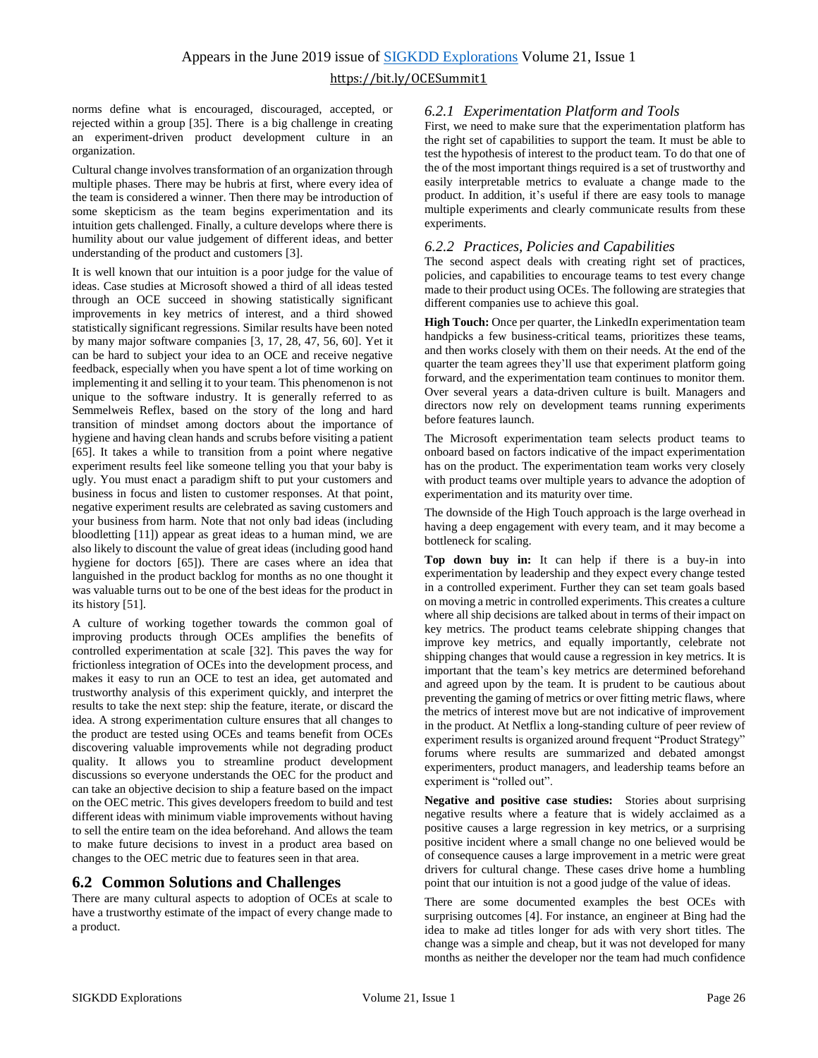norms define what is encouraged, discouraged, accepted, or rejected within a group [35]. There is a big challenge in creating an experiment-driven product development culture in an organization.

Cultural change involves transformation of an organization through multiple phases. There may be hubris at first, where every idea of the team is considered a winner. Then there may be introduction of some skepticism as the team begins experimentation and its intuition gets challenged. Finally, a culture develops where there is humility about our value judgement of different ideas, and better understanding of the product and customers [3].

It is well known that our intuition is a poor judge for the value of ideas. Case studies at Microsoft showed a third of all ideas tested through an OCE succeed in showing statistically significant improvements in key metrics of interest, and a third showed statistically significant regressions. Similar results have been noted by many major software companies [3, 17, 28, 47, 56, 60]. Yet it can be hard to subject your idea to an OCE and receive negative feedback, especially when you have spent a lot of time working on implementing it and selling it to your team. This phenomenon is not unique to the software industry. It is generally referred to as Semmelweis Reflex, based on the story of the long and hard transition of mindset among doctors about the importance of hygiene and having clean hands and scrubs before visiting a patient [65]. It takes a while to transition from a point where negative experiment results feel like someone telling you that your baby is ugly. You must enact a paradigm shift to put your customers and business in focus and listen to customer responses. At that point, negative experiment results are celebrated as saving customers and your business from harm. Note that not only bad ideas (including bloodletting [11]) appear as great ideas to a human mind, we are also likely to discount the value of great ideas (including good hand hygiene for doctors [65]). There are cases where an idea that languished in the product backlog for months as no one thought it was valuable turns out to be one of the best ideas for the product in its history [51].

A culture of working together towards the common goal of improving products through OCEs amplifies the benefits of controlled experimentation at scale [32]. This paves the way for frictionless integration of OCEs into the development process, and makes it easy to run an OCE to test an idea, get automated and trustworthy analysis of this experiment quickly, and interpret the results to take the next step: ship the feature, iterate, or discard the idea. A strong experimentation culture ensures that all changes to the product are tested using OCEs and teams benefit from OCEs discovering valuable improvements while not degrading product quality. It allows you to streamline product development discussions so everyone understands the OEC for the product and can take an objective decision to ship a feature based on the impact on the OEC metric. This gives developers freedom to build and test different ideas with minimum viable improvements without having to sell the entire team on the idea beforehand. And allows the team to make future decisions to invest in a product area based on changes to the OEC metric due to features seen in that area.

#### **6.2 Common Solutions and Challenges**

There are many cultural aspects to adoption of OCEs at scale to have a trustworthy estimate of the impact of every change made to a product.

#### *6.2.1 Experimentation Platform and Tools*

First, we need to make sure that the experimentation platform has the right set of capabilities to support the team. It must be able to test the hypothesis of interest to the product team. To do that one of the of the most important things required is a set of trustworthy and easily interpretable metrics to evaluate a change made to the product. In addition, it's useful if there are easy tools to manage multiple experiments and clearly communicate results from these experiments.

#### *6.2.2 Practices, Policies and Capabilities*

The second aspect deals with creating right set of practices, policies, and capabilities to encourage teams to test every change made to their product using OCEs. The following are strategies that different companies use to achieve this goal.

**High Touch:** Once per quarter, the LinkedIn experimentation team handpicks a few business-critical teams, prioritizes these teams, and then works closely with them on their needs. At the end of the quarter the team agrees they'll use that experiment platform going forward, and the experimentation team continues to monitor them. Over several years a data-driven culture is built. Managers and directors now rely on development teams running experiments before features launch.

The Microsoft experimentation team selects product teams to onboard based on factors indicative of the impact experimentation has on the product. The experimentation team works very closely with product teams over multiple years to advance the adoption of experimentation and its maturity over time.

The downside of the High Touch approach is the large overhead in having a deep engagement with every team, and it may become a bottleneck for scaling.

**Top down buy in:** It can help if there is a buy-in into experimentation by leadership and they expect every change tested in a controlled experiment. Further they can set team goals based on moving a metric in controlled experiments. This creates a culture where all ship decisions are talked about in terms of their impact on key metrics. The product teams celebrate shipping changes that improve key metrics, and equally importantly, celebrate not shipping changes that would cause a regression in key metrics. It is important that the team's key metrics are determined beforehand and agreed upon by the team. It is prudent to be cautious about preventing the gaming of metrics or over fitting metric flaws, where the metrics of interest move but are not indicative of improvement in the product. At Netflix a long-standing culture of peer review of experiment results is organized around frequent "Product Strategy" forums where results are summarized and debated amongst experimenters, product managers, and leadership teams before an experiment is "rolled out".

**Negative and positive case studies:** Stories about surprising negative results where a feature that is widely acclaimed as a positive causes a large regression in key metrics, or a surprising positive incident where a small change no one believed would be of consequence causes a large improvement in a metric were great drivers for cultural change. These cases drive home a humbling point that our intuition is not a good judge of the value of ideas.

There are some documented examples the best OCEs with surprising outcomes [4]. For instance, an engineer at Bing had the idea to make ad titles longer for ads with very short titles. The change was a simple and cheap, but it was not developed for many months as neither the developer nor the team had much confidence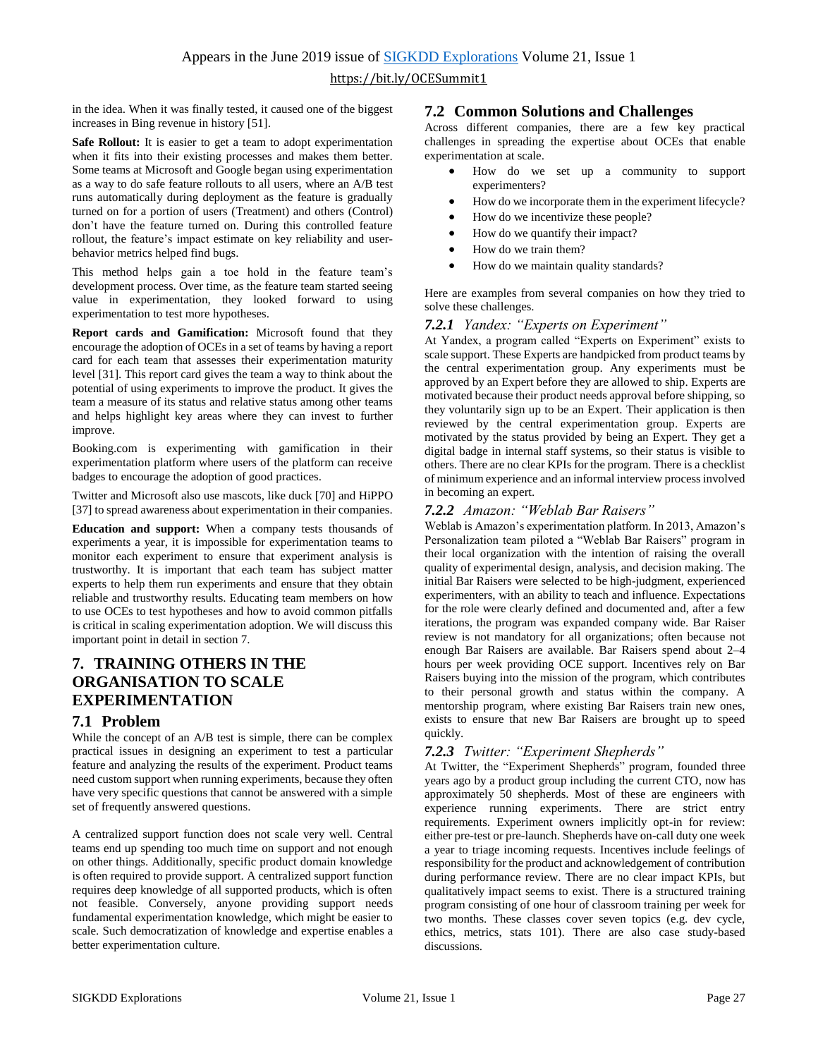in the idea. When it was finally tested, it caused one of the biggest increases in Bing revenue in history [51].

**Safe Rollout:** It is easier to get a team to adopt experimentation when it fits into their existing processes and makes them better. Some teams at Microsoft and Google began using experimentation as a way to do safe feature rollouts to all users, where an A/B test runs automatically during deployment as the feature is gradually turned on for a portion of users (Treatment) and others (Control) don't have the feature turned on. During this controlled feature rollout, the feature's impact estimate on key reliability and userbehavior metrics helped find bugs.

This method helps gain a toe hold in the feature team's development process. Over time, as the feature team started seeing value in experimentation, they looked forward to using experimentation to test more hypotheses.

**Report cards and Gamification:** Microsoft found that they encourage the adoption of OCEs in a set of teams by having a report card for each team that assesses their experimentation maturity level [31]. This report card gives the team a way to think about the potential of using experiments to improve the product. It gives the team a measure of its status and relative status among other teams and helps highlight key areas where they can invest to further improve.

Booking.com is experimenting with gamification in their experimentation platform where users of the platform can receive badges to encourage the adoption of good practices.

Twitter and Microsoft also use mascots, like duck [70] and HiPPO [37] to spread awareness about experimentation in their companies.

**Education and support:** When a company tests thousands of experiments a year, it is impossible for experimentation teams to monitor each experiment to ensure that experiment analysis is trustworthy. It is important that each team has subject matter experts to help them run experiments and ensure that they obtain reliable and trustworthy results. Educating team members on how to use OCEs to test hypotheses and how to avoid common pitfalls is critical in scaling experimentation adoption. We will discuss this important point in detail in section [7.](#page-7-0)

## <span id="page-7-0"></span>**7. TRAINING OTHERS IN THE ORGANISATION TO SCALE EXPERIMENTATION**

#### **7.1 Problem**

While the concept of an A/B test is simple, there can be complex practical issues in designing an experiment to test a particular feature and analyzing the results of the experiment. Product teams need custom support when running experiments, because they often have very specific questions that cannot be answered with a simple set of frequently answered questions.

A centralized support function does not scale very well. Central teams end up spending too much time on support and not enough on other things. Additionally, specific product domain knowledge is often required to provide support. A centralized support function requires deep knowledge of all supported products, which is often not feasible. Conversely, anyone providing support needs fundamental experimentation knowledge, which might be easier to scale. Such democratization of knowledge and expertise enables a better experimentation culture.

#### **7.2 Common Solutions and Challenges**

Across different companies, there are a few key practical challenges in spreading the expertise about OCEs that enable experimentation at scale.

- How do we set up a community to support experimenters?
- How do we incorporate them in the experiment lifecycle?
- How do we incentivize these people?
- How do we quantify their impact?
- How do we train them?
- How do we maintain quality standards?

Here are examples from several companies on how they tried to solve these challenges.

#### *7.2.1 Yandex: "Experts on Experiment"*

At Yandex, a program called "Experts on Experiment" exists to scale support. These Experts are handpicked from product teams by the central experimentation group. Any experiments must be approved by an Expert before they are allowed to ship. Experts are motivated because their product needs approval before shipping, so they voluntarily sign up to be an Expert. Their application is then reviewed by the central experimentation group. Experts are motivated by the status provided by being an Expert. They get a digital badge in internal staff systems, so their status is visible to others. There are no clear KPIs for the program. There is a checklist of minimum experience and an informal interview process involved in becoming an expert.

#### *7.2.2 Amazon: "Weblab Bar Raisers"*

Weblab is Amazon's experimentation platform. In 2013, Amazon's Personalization team piloted a "Weblab Bar Raisers" program in their local organization with the intention of raising the overall quality of experimental design, analysis, and decision making. The initial Bar Raisers were selected to be high-judgment, experienced experimenters, with an ability to teach and influence. Expectations for the role were clearly defined and documented and, after a few iterations, the program was expanded company wide. Bar Raiser review is not mandatory for all organizations; often because not enough Bar Raisers are available. Bar Raisers spend about 2–4 hours per week providing OCE support. Incentives rely on Bar Raisers buying into the mission of the program, which contributes to their personal growth and status within the company. A mentorship program, where existing Bar Raisers train new ones, exists to ensure that new Bar Raisers are brought up to speed quickly.

#### *7.2.3 Twitter: "Experiment Shepherds"*

At Twitter, the "Experiment Shepherds" program, founded three years ago by a product group including the current CTO, now has approximately 50 shepherds. Most of these are engineers with experience running experiments. There are strict entry requirements. Experiment owners implicitly opt-in for review: either pre-test or pre-launch. Shepherds have on-call duty one week a year to triage incoming requests. Incentives include feelings of responsibility for the product and acknowledgement of contribution during performance review. There are no clear impact KPIs, but qualitatively impact seems to exist. There is a structured training program consisting of one hour of classroom training per week for two months. These classes cover seven topics (e.g. dev cycle, ethics, metrics, stats 101). There are also case study-based discussions.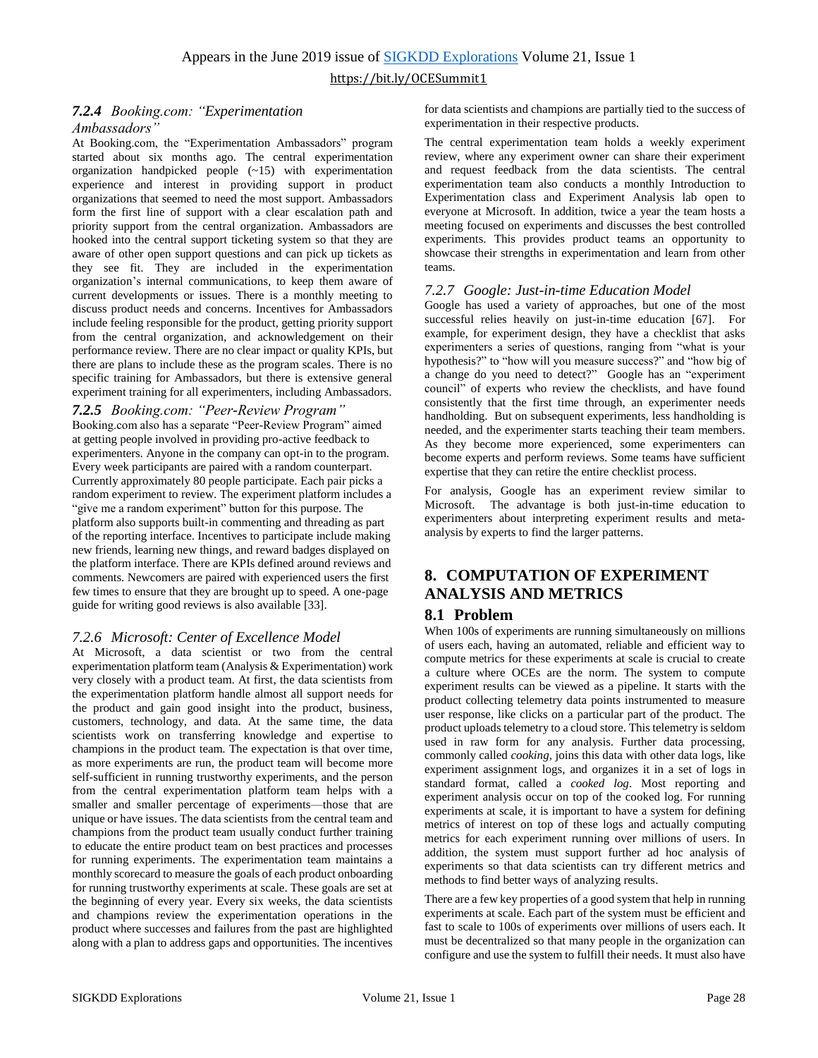#### *7.2.4 Booking.com: "Experimentation Ambassadors"*

At Booking.com, the "Experimentation Ambassadors" program started about six months ago. The central experimentation organization handpicked people (~15) with experimentation experience and interest in providing support in product organizations that seemed to need the most support. Ambassadors form the first line of support with a clear escalation path and priority support from the central organization. Ambassadors are hooked into the central support ticketing system so that they are aware of other open support questions and can pick up tickets as they see fit. They are included in the experimentation organization's internal communications, to keep them aware of current developments or issues. There is a monthly meeting to discuss product needs and concerns. Incentives for Ambassadors include feeling responsible for the product, getting priority support from the central organization, and acknowledgement on their performance review. There are no clear impact or quality KPIs, but there are plans to include these as the program scales. There is no specific training for Ambassadors, but there is extensive general experiment training for all experimenters, including Ambassadors.

#### *7.2.5 Booking.com: "Peer-Review Program"*

Booking.com also has a separate "Peer-Review Program" aimed at getting people involved in providing pro-active feedback to experimenters. Anyone in the company can opt-in to the program. Every week participants are paired with a random counterpart. Currently approximately 80 people participate. Each pair picks a random experiment to review. The experiment platform includes a "give me a random experiment" button for this purpose. The platform also supports built-in commenting and threading as part of the reporting interface. Incentives to participate include making new friends, learning new things, and reward badges displayed on the platform interface. There are KPIs defined around reviews and comments. Newcomers are paired with experienced users the first few times to ensure that they are brought up to speed. A one-page guide for writing good reviews is also available [33].

#### *7.2.6 Microsoft: Center of Excellence Model*

At Microsoft, a data scientist or two from the central experimentation platform team (Analysis & Experimentation) work very closely with a product team. At first, the data scientists from the experimentation platform handle almost all support needs for the product and gain good insight into the product, business, customers, technology, and data. At the same time, the data scientists work on transferring knowledge and expertise to champions in the product team. The expectation is that over time, as more experiments are run, the product team will become more self-sufficient in running trustworthy experiments, and the person from the central experimentation platform team helps with a smaller and smaller percentage of experiments—those that are unique or have issues. The data scientists from the central team and champions from the product team usually conduct further training to educate the entire product team on best practices and processes for running experiments. The experimentation team maintains a monthly scorecard to measure the goals of each product onboarding for running trustworthy experiments at scale. These goals are set at the beginning of every year. Every six weeks, the data scientists and champions review the experimentation operations in the product where successes and failures from the past are highlighted along with a plan to address gaps and opportunities. The incentives

for data scientists and champions are partially tied to the success of experimentation in their respective products.

The central experimentation team holds a weekly experiment review, where any experiment owner can share their experiment and request feedback from the data scientists. The central experimentation team also conducts a monthly Introduction to Experimentation class and Experiment Analysis lab open to everyone at Microsoft. In addition, twice a year the team hosts a meeting focused on experiments and discusses the best controlled experiments. This provides product teams an opportunity to showcase their strengths in experimentation and learn from other teams.

#### *7.2.7 Google: Just-in-time Education Model*

Google has used a variety of approaches, but one of the most successful relies heavily on just-in-time education [67]. For example, for experiment design, they have a checklist that asks experimenters a series of questions, ranging from "what is your hypothesis?" to "how will you measure success?" and "how big of a change do you need to detect?" Google has an "experiment council" of experts who review the checklists, and have found consistently that the first time through, an experimenter needs handholding. But on subsequent experiments, less handholding is needed, and the experimenter starts teaching their team members. As they become more experienced, some experimenters can become experts and perform reviews. Some teams have sufficient expertise that they can retire the entire checklist process.

For analysis, Google has an experiment review similar to Microsoft. The advantage is both just-in-time education to experimenters about interpreting experiment results and metaanalysis by experts to find the larger patterns.

## **8. COMPUTATION OF EXPERIMENT ANALYSIS AND METRICS**

#### **8.1 Problem**

When 100s of experiments are running simultaneously on millions of users each, having an automated, reliable and efficient way to compute metrics for these experiments at scale is crucial to create a culture where OCEs are the norm. The system to compute experiment results can be viewed as a pipeline. It starts with the product collecting telemetry data points instrumented to measure user response, like clicks on a particular part of the product. The product uploads telemetry to a cloud store. This telemetry is seldom used in raw form for any analysis. Further data processing, commonly called *cooking*, joins this data with other data logs, like experiment assignment logs, and organizes it in a set of logs in standard format, called a *cooked log*. Most reporting and experiment analysis occur on top of the cooked log. For running experiments at scale, it is important to have a system for defining metrics of interest on top of these logs and actually computing metrics for each experiment running over millions of users. In addition, the system must support further ad hoc analysis of experiments so that data scientists can try different metrics and methods to find better ways of analyzing results.

There are a few key properties of a good system that help in running experiments at scale. Each part of the system must be efficient and fast to scale to 100s of experiments over millions of users each. It must be decentralized so that many people in the organization can configure and use the system to fulfill their needs. It must also have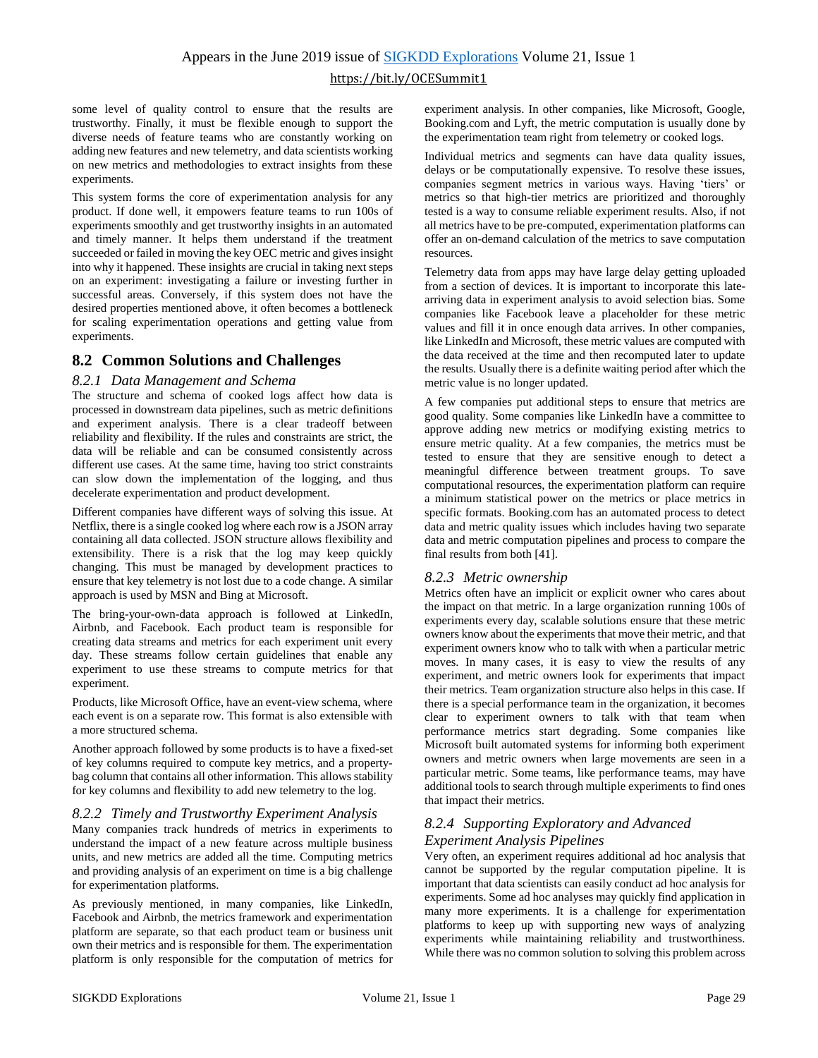some level of quality control to ensure that the results are trustworthy. Finally, it must be flexible enough to support the diverse needs of feature teams who are constantly working on adding new features and new telemetry, and data scientists working on new metrics and methodologies to extract insights from these experiments.

This system forms the core of experimentation analysis for any product. If done well, it empowers feature teams to run 100s of experiments smoothly and get trustworthy insights in an automated and timely manner. It helps them understand if the treatment succeeded or failed in moving the key OEC metric and gives insight into why it happened. These insights are crucial in taking next steps on an experiment: investigating a failure or investing further in successful areas. Conversely, if this system does not have the desired properties mentioned above, it often becomes a bottleneck for scaling experimentation operations and getting value from experiments.

### **8.2 Common Solutions and Challenges**

#### *8.2.1 Data Management and Schema*

The structure and schema of cooked logs affect how data is processed in downstream data pipelines, such as metric definitions and experiment analysis. There is a clear tradeoff between reliability and flexibility. If the rules and constraints are strict, the data will be reliable and can be consumed consistently across different use cases. At the same time, having too strict constraints can slow down the implementation of the logging, and thus decelerate experimentation and product development.

Different companies have different ways of solving this issue. At Netflix, there is a single cooked log where each row is a JSON array containing all data collected. JSON structure allows flexibility and extensibility. There is a risk that the log may keep quickly changing. This must be managed by development practices to ensure that key telemetry is not lost due to a code change. A similar approach is used by MSN and Bing at Microsoft.

The bring-your-own-data approach is followed at LinkedIn, Airbnb, and Facebook. Each product team is responsible for creating data streams and metrics for each experiment unit every day. These streams follow certain guidelines that enable any experiment to use these streams to compute metrics for that experiment.

Products, like Microsoft Office, have an event-view schema, where each event is on a separate row. This format is also extensible with a more structured schema.

Another approach followed by some products is to have a fixed-set of key columns required to compute key metrics, and a propertybag column that contains all other information. This allows stability for key columns and flexibility to add new telemetry to the log.

#### *8.2.2 Timely and Trustworthy Experiment Analysis*

Many companies track hundreds of metrics in experiments to understand the impact of a new feature across multiple business units, and new metrics are added all the time. Computing metrics and providing analysis of an experiment on time is a big challenge for experimentation platforms.

As previously mentioned, in many companies, like LinkedIn, Facebook and Airbnb, the metrics framework and experimentation platform are separate, so that each product team or business unit own their metrics and is responsible for them. The experimentation platform is only responsible for the computation of metrics for experiment analysis. In other companies, like Microsoft, Google, Booking.com and Lyft, the metric computation is usually done by the experimentation team right from telemetry or cooked logs.

Individual metrics and segments can have data quality issues, delays or be computationally expensive. To resolve these issues, companies segment metrics in various ways. Having 'tiers' or metrics so that high-tier metrics are prioritized and thoroughly tested is a way to consume reliable experiment results. Also, if not all metrics have to be pre-computed, experimentation platforms can offer an on-demand calculation of the metrics to save computation resources.

Telemetry data from apps may have large delay getting uploaded from a section of devices. It is important to incorporate this latearriving data in experiment analysis to avoid selection bias. Some companies like Facebook leave a placeholder for these metric values and fill it in once enough data arrives. In other companies, like LinkedIn and Microsoft, these metric values are computed with the data received at the time and then recomputed later to update the results. Usually there is a definite waiting period after which the metric value is no longer updated.

A few companies put additional steps to ensure that metrics are good quality. Some companies like LinkedIn have a committee to approve adding new metrics or modifying existing metrics to ensure metric quality. At a few companies, the metrics must be tested to ensure that they are sensitive enough to detect a meaningful difference between treatment groups. To save computational resources, the experimentation platform can require a minimum statistical power on the metrics or place metrics in specific formats. Booking.com has an automated process to detect data and metric quality issues which includes having two separate data and metric computation pipelines and process to compare the final results from both [41].

#### *8.2.3 Metric ownership*

Metrics often have an implicit or explicit owner who cares about the impact on that metric. In a large organization running 100s of experiments every day, scalable solutions ensure that these metric owners know about the experiments that move their metric, and that experiment owners know who to talk with when a particular metric moves. In many cases, it is easy to view the results of any experiment, and metric owners look for experiments that impact their metrics. Team organization structure also helps in this case. If there is a special performance team in the organization, it becomes clear to experiment owners to talk with that team when performance metrics start degrading. Some companies like Microsoft built automated systems for informing both experiment owners and metric owners when large movements are seen in a particular metric. Some teams, like performance teams, may have additional tools to search through multiple experiments to find ones that impact their metrics.

#### *8.2.4 Supporting Exploratory and Advanced Experiment Analysis Pipelines*

Very often, an experiment requires additional ad hoc analysis that cannot be supported by the regular computation pipeline. It is important that data scientists can easily conduct ad hoc analysis for experiments. Some ad hoc analyses may quickly find application in many more experiments. It is a challenge for experimentation platforms to keep up with supporting new ways of analyzing experiments while maintaining reliability and trustworthiness. While there was no common solution to solving this problem across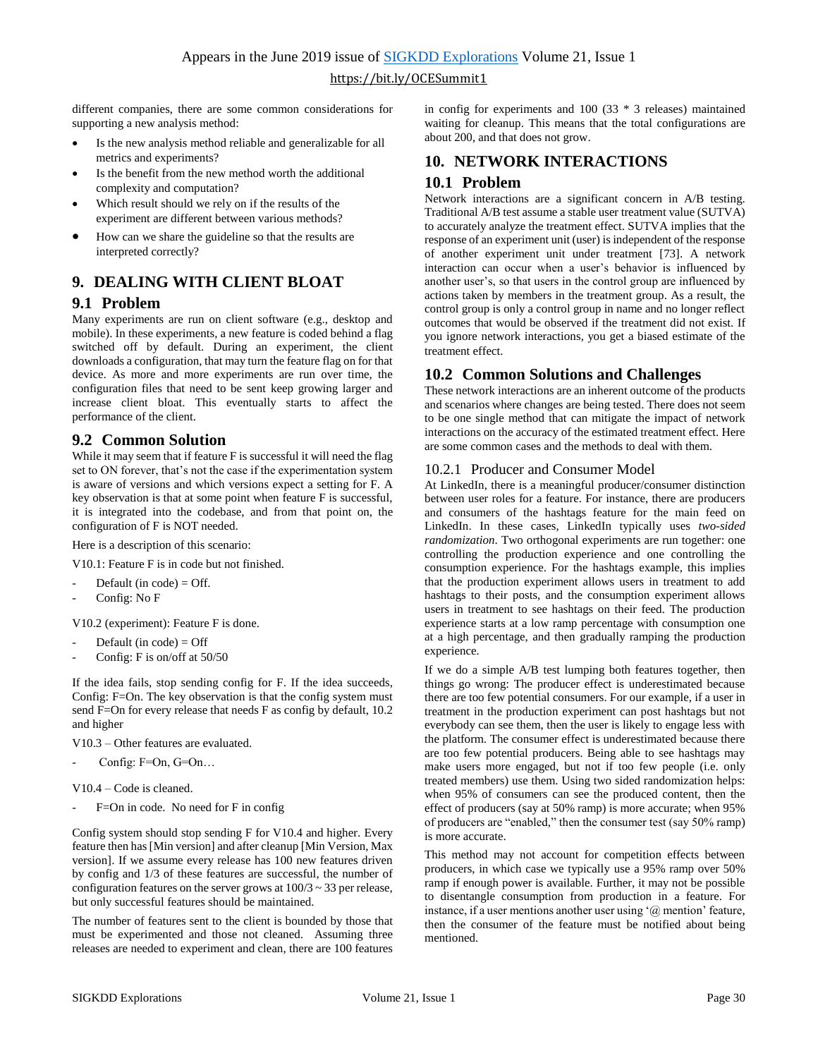different companies, there are some common considerations for supporting a new analysis method:

- Is the new analysis method reliable and generalizable for all metrics and experiments?
- Is the benefit from the new method worth the additional complexity and computation?
- Which result should we rely on if the results of the experiment are different between various methods?
- How can we share the guideline so that the results are interpreted correctly?

## <span id="page-10-0"></span>**9. DEALING WITH CLIENT BLOAT**

#### **9.1 Problem**

Many experiments are run on client software (e.g., desktop and mobile). In these experiments, a new feature is coded behind a flag switched off by default. During an experiment, the client downloads a configuration, that may turn the feature flag on for that device. As more and more experiments are run over time, the configuration files that need to be sent keep growing larger and increase client bloat. This eventually starts to affect the performance of the client.

#### **9.2 Common Solution**

While it may seem that if feature F is successful it will need the flag set to ON forever, that's not the case if the experimentation system is aware of versions and which versions expect a setting for F. A key observation is that at some point when feature F is successful, it is integrated into the codebase, and from that point on, the configuration of F is NOT needed.

Here is a description of this scenario:

V10.1: Feature F is in code but not finished.

- Default (in code) =  $Off.$
- Config: No F

V10.2 (experiment): Feature F is done.

- Default (in code)  $=$  Off
- Config: F is on/off at 50/50

If the idea fails, stop sending config for F. If the idea succeeds, Config: F=On. The key observation is that the config system must send F=On for every release that needs F as config by default, 10.2 and higher

V10.3 – Other features are evaluated.

Config:  $F=On, G=On...$ 

V10.4 – Code is cleaned.

F=On in code. No need for F in config

Config system should stop sending F for V10.4 and higher. Every feature then has [Min version] and after cleanup [Min Version, Max version]. If we assume every release has 100 new features driven by config and 1/3 of these features are successful, the number of configuration features on the server grows at  $100/3 \sim 33$  per release, but only successful features should be maintained.

The number of features sent to the client is bounded by those that must be experimented and those not cleaned. Assuming three releases are needed to experiment and clean, there are 100 features in config for experiments and 100 (33 \* 3 releases) maintained waiting for cleanup. This means that the total configurations are about 200, and that does not grow.

## <span id="page-10-1"></span>**10. NETWORK INTERACTIONS 10.1 Problem**

Network interactions are a significant concern in A/B testing. Traditional A/B test assume a stable user treatment value (SUTVA) to accurately analyze the treatment effect. SUTVA implies that the response of an experiment unit (user) is independent of the response of another experiment unit under treatment [73]. A network interaction can occur when a user's behavior is influenced by another user's, so that users in the control group are influenced by actions taken by members in the treatment group. As a result, the control group is only a control group in name and no longer reflect outcomes that would be observed if the treatment did not exist. If you ignore network interactions, you get a biased estimate of the treatment effect.

#### **10.2 Common Solutions and Challenges**

These network interactions are an inherent outcome of the products and scenarios where changes are being tested. There does not seem to be one single method that can mitigate the impact of network interactions on the accuracy of the estimated treatment effect. Here are some common cases and the methods to deal with them.

#### 10.2.1 Producer and Consumer Model

At LinkedIn, there is a meaningful producer/consumer distinction between user roles for a feature. For instance, there are producers and consumers of the hashtags feature for the main feed on LinkedIn. In these cases, LinkedIn typically uses *two-sided randomization*. Two orthogonal experiments are run together: one controlling the production experience and one controlling the consumption experience. For the hashtags example, this implies that the production experiment allows users in treatment to add hashtags to their posts, and the consumption experiment allows users in treatment to see hashtags on their feed. The production experience starts at a low ramp percentage with consumption one at a high percentage, and then gradually ramping the production experience*.*

If we do a simple A/B test lumping both features together, then things go wrong: The producer effect is underestimated because there are too few potential consumers. For our example, if a user in treatment in the production experiment can post hashtags but not everybody can see them, then the user is likely to engage less with the platform. The consumer effect is underestimated because there are too few potential producers. Being able to see hashtags may make users more engaged, but not if too few people (i.e. only treated members) use them. Using two sided randomization helps: when 95% of consumers can see the produced content, then the effect of producers (say at 50% ramp) is more accurate; when 95% of producers are "enabled," then the consumer test (say 50% ramp) is more accurate.

This method may not account for competition effects between producers, in which case we typically use a 95% ramp over 50% ramp if enough power is available. Further, it may not be possible to disentangle consumption from production in a feature. For instance, if a user mentions another user using '@ mention' feature, then the consumer of the feature must be notified about being mentioned.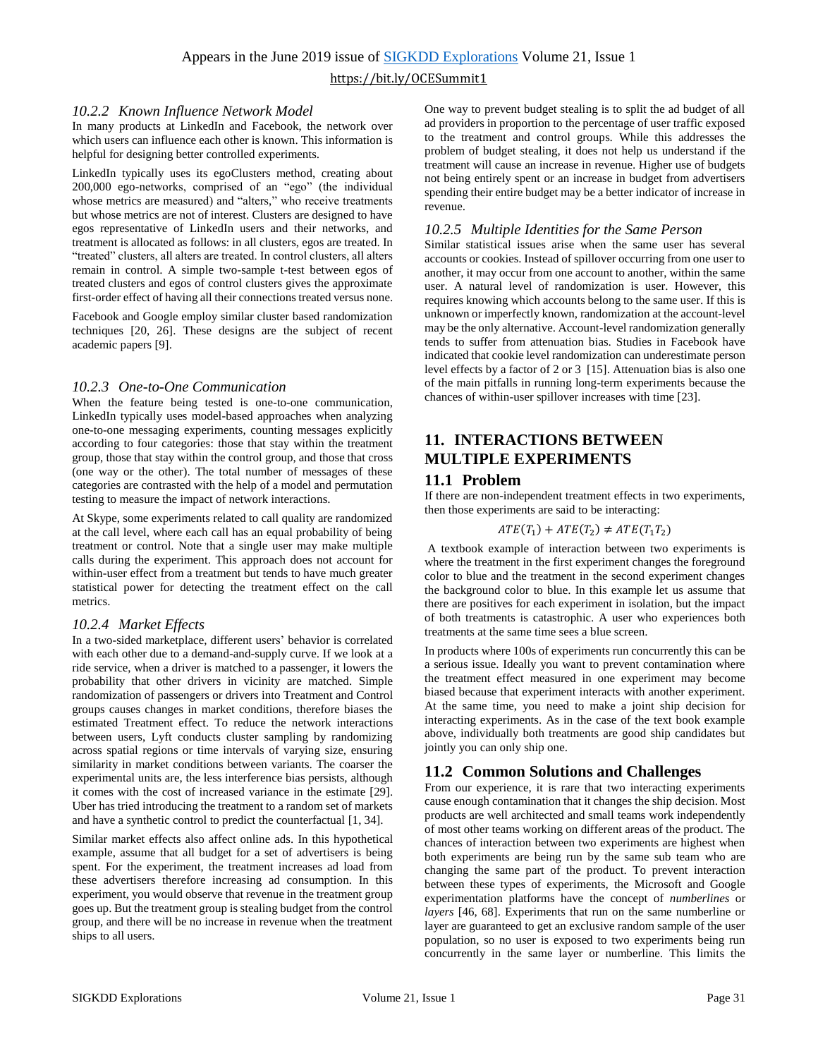#### *10.2.2 Known Influence Network Model*

In many products at LinkedIn and Facebook, the network over which users can influence each other is known. This information is helpful for designing better controlled experiments.

LinkedIn typically uses its egoClusters method, creating about 200,000 ego-networks, comprised of an "ego" (the individual whose metrics are measured) and "alters," who receive treatments but whose metrics are not of interest. Clusters are designed to have egos representative of LinkedIn users and their networks, and treatment is allocated as follows: in all clusters, egos are treated. In "treated" clusters, all alters are treated. In control clusters, all alters remain in control. A simple two-sample t-test between egos of treated clusters and egos of control clusters gives the approximate first-order effect of having all their connections treated versus none.

Facebook and Google employ similar cluster based randomization techniques [20, 26]. These designs are the subject of recent academic papers [9].

#### *10.2.3 One-to-One Communication*

When the feature being tested is one-to-one communication, LinkedIn typically uses model-based approaches when analyzing one-to-one messaging experiments, counting messages explicitly according to four categories: those that stay within the treatment group, those that stay within the control group, and those that cross (one way or the other). The total number of messages of these categories are contrasted with the help of a model and permutation testing to measure the impact of network interactions.

At Skype, some experiments related to call quality are randomized at the call level, where each call has an equal probability of being treatment or control. Note that a single user may make multiple calls during the experiment. This approach does not account for within-user effect from a treatment but tends to have much greater statistical power for detecting the treatment effect on the call metrics.

#### *10.2.4 Market Effects*

In a two-sided marketplace, different users' behavior is correlated with each other due to a demand-and-supply curve. If we look at a ride service, when a driver is matched to a passenger, it lowers the probability that other drivers in vicinity are matched. Simple randomization of passengers or drivers into Treatment and Control groups causes changes in market conditions, therefore biases the estimated Treatment effect. To reduce the network interactions between users, Lyft conducts cluster sampling by randomizing across spatial regions or time intervals of varying size, ensuring similarity in market conditions between variants. The coarser the experimental units are, the less interference bias persists, although it comes with the cost of increased variance in the estimate [29]. Uber has tried introducing the treatment to a random set of markets and have a synthetic control to predict the counterfactual [1, 34].

Similar market effects also affect online ads. In this hypothetical example, assume that all budget for a set of advertisers is being spent. For the experiment, the treatment increases ad load from these advertisers therefore increasing ad consumption. In this experiment, you would observe that revenue in the treatment group goes up. But the treatment group is stealing budget from the control group, and there will be no increase in revenue when the treatment ships to all users.

One way to prevent budget stealing is to split the ad budget of all ad providers in proportion to the percentage of user traffic exposed to the treatment and control groups. While this addresses the problem of budget stealing, it does not help us understand if the treatment will cause an increase in revenue. Higher use of budgets not being entirely spent or an increase in budget from advertisers spending their entire budget may be a better indicator of increase in revenue.

#### *10.2.5 Multiple Identities for the Same Person*

Similar statistical issues arise when the same user has several accounts or cookies. Instead of spillover occurring from one user to another, it may occur from one account to another, within the same user. A natural level of randomization is user. However, this requires knowing which accounts belong to the same user. If this is unknown or imperfectly known, randomization at the account-level may be the only alternative. Account-level randomization generally tends to suffer from attenuation bias. Studies in Facebook have indicated that cookie level randomization can underestimate person level effects by a factor of 2 or 3 [15]. Attenuation bias is also one of the main pitfalls in running long-term experiments because the chances of within-user spillover increases with time [23].

## <span id="page-11-0"></span>**11. INTERACTIONS BETWEEN MULTIPLE EXPERIMENTS**

## **11.1 Problem**

If there are non-independent treatment effects in two experiments, then those experiments are said to be interacting:

#### $ATE(T_1) + ATE(T_2) \neq ATE(T_1T_2)$

A textbook example of interaction between two experiments is where the treatment in the first experiment changes the foreground color to blue and the treatment in the second experiment changes the background color to blue. In this example let us assume that there are positives for each experiment in isolation, but the impact of both treatments is catastrophic. A user who experiences both treatments at the same time sees a blue screen.

In products where 100s of experiments run concurrently this can be a serious issue. Ideally you want to prevent contamination where the treatment effect measured in one experiment may become biased because that experiment interacts with another experiment. At the same time, you need to make a joint ship decision for interacting experiments. As in the case of the text book example above, individually both treatments are good ship candidates but jointly you can only ship one.

#### **11.2 Common Solutions and Challenges**

From our experience, it is rare that two interacting experiments cause enough contamination that it changes the ship decision. Most products are well architected and small teams work independently of most other teams working on different areas of the product. The chances of interaction between two experiments are highest when both experiments are being run by the same sub team who are changing the same part of the product. To prevent interaction between these types of experiments, the Microsoft and Google experimentation platforms have the concept of *numberlines* or *layers* [46, 68]. Experiments that run on the same numberline or layer are guaranteed to get an exclusive random sample of the user population, so no user is exposed to two experiments being run concurrently in the same layer or numberline. This limits the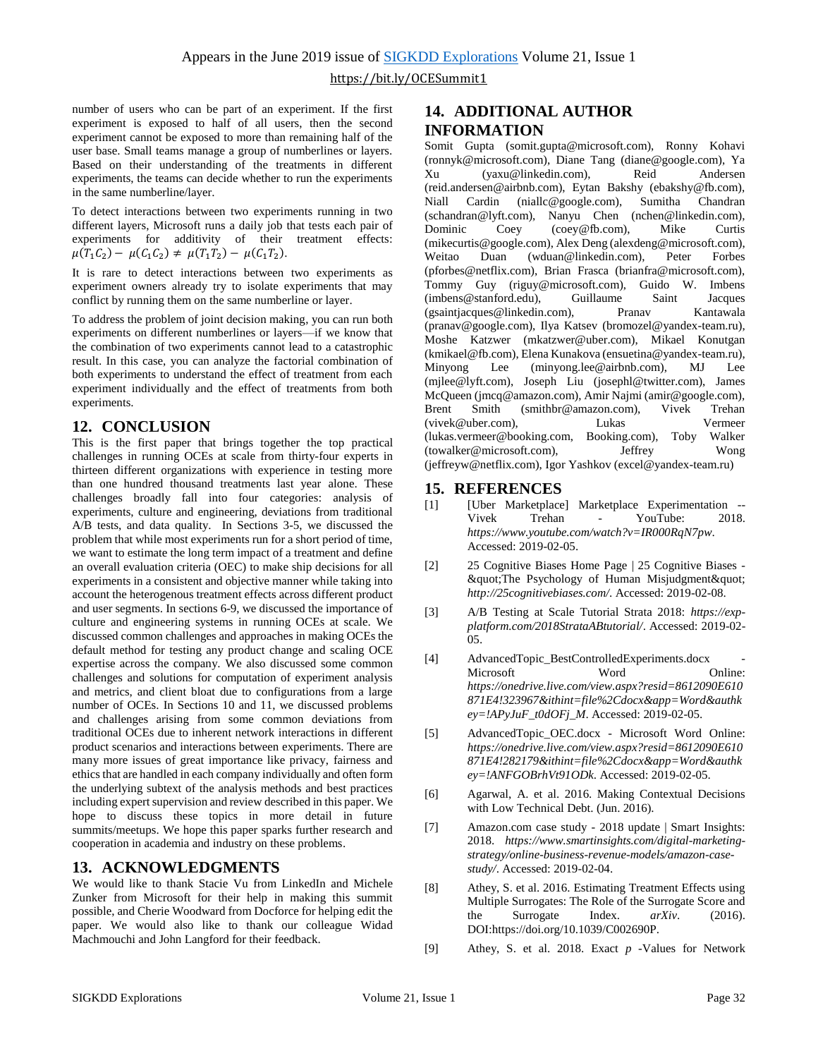number of users who can be part of an experiment. If the first experiment is exposed to half of all users, then the second experiment cannot be exposed to more than remaining half of the user base. Small teams manage a group of numberlines or layers. Based on their understanding of the treatments in different experiments, the teams can decide whether to run the experiments in the same numberline/layer.

To detect interactions between two experiments running in two different layers, Microsoft runs a daily job that tests each pair of experiments for additivity of their treatment effects:  $\mu(T_1C_2) - \mu(C_1C_2) \neq \mu(T_1T_2) - \mu(C_1T_2).$ 

It is rare to detect interactions between two experiments as experiment owners already try to isolate experiments that may conflict by running them on the same numberline or layer.

To address the problem of joint decision making, you can run both experiments on different numberlines or layers—if we know that the combination of two experiments cannot lead to a catastrophic result. In this case, you can analyze the factorial combination of both experiments to understand the effect of treatment from each experiment individually and the effect of treatments from both experiments.

### **12. CONCLUSION**

This is the first paper that brings together the top practical challenges in running OCEs at scale from thirty-four experts in thirteen different organizations with experience in testing more than one hundred thousand treatments last year alone. These challenges broadly fall into four categories: analysis of experiments, culture and engineering, deviations from traditional A/B tests, and data quality. In Sections [3](#page-2-0)[-5,](#page-4-0) we discussed the problem that while most experiments run for a short period of time, we want to estimate the long term impact of a treatment and define an overall evaluation criteria (OEC) to make ship decisions for all experiments in a consistent and objective manner while taking into account the heterogenous treatment effects across different product and user segments. In sections [6](#page-5-0)[-9,](#page-10-0) we discussed the importance of culture and engineering systems in running OCEs at scale. We discussed common challenges and approaches in making OCEs the default method for testing any product change and scaling OCE expertise across the company. We also discussed some common challenges and solutions for computation of experiment analysis and metrics, and client bloat due to configurations from a large number of OCEs. In Sections [10](#page-10-1) and [11,](#page-11-0) we discussed problems and challenges arising from some common deviations from traditional OCEs due to inherent network interactions in different product scenarios and interactions between experiments. There are many more issues of great importance like privacy, fairness and ethics that are handled in each company individually and often form the underlying subtext of the analysis methods and best practices including expert supervision and review described in this paper. We hope to discuss these topics in more detail in future summits/meetups. We hope this paper sparks further research and cooperation in academia and industry on these problems.

#### **13. ACKNOWLEDGMENTS**

We would like to thank Stacie Vu from LinkedIn and Michele Zunker from Microsoft for their help in making this summit possible, and Cherie Woodward from Docforce for helping edit the paper. We would also like to thank our colleague Widad Machmouchi and John Langford for their feedback.

### **14. ADDITIONAL AUTHOR INFORMATION**

Somit Gupta (somit.gupta@microsoft.com), Ronny Kohavi (ronnyk@microsoft.com), Diane Tang (diane@google.com), Ya Xu (yaxu@linkedin.com), Reid Andersen (reid.andersen@airbnb.com), Eytan Bakshy (ebakshy@fb.com), Niall Cardin (niallc@google.com), Sumitha Chandran (schandran@lyft.com), Nanyu Chen (nchen@linkedin.com), Dominic Coey (coey@fb.com), Mike Curtis (mikecurtis@google.com), Alex Deng (alexdeng@microsoft.com), Weitao Duan (wduan@linkedin.com), Peter Forbes (pforbes@netflix.com), Brian Frasca (brianfra@microsoft.com), Tommy Guy (riguy@microsoft.com), Guido W. Imbens (imbens@stanford.edu), Guillaume Saint Jacques (gsaintjacques@linkedin.com), Pranav Kantawala (pranav@google.com), Ilya Katsev (bromozel@yandex-team.ru), Moshe Katzwer (mkatzwer@uber.com), Mikael Konutgan (kmikael@fb.com), Elena Kunakova (ensuetina@yandex-team.ru), Lee (minyong.lee@airbnb.com), MJ Lee (mjlee@lyft.com), Joseph Liu (josephl@twitter.com), James McQueen (jmcq@amazon.com), Amir Najmi (amir@google.com), Brent Smith (smithbr@amazon.com), Vivek Trehan (vivek@uber.com), Lukas Vermeer (lukas.vermeer@booking.com, Booking.com), Toby Walker (towalker@microsoft.com), Jeffrey Wong (jeffreyw@netflix.com), Igor Yashkov (excel@yandex-team.ru)

#### **15. REFERENCES**

- [1] [Uber Marketplace] Marketplace Experimentation -- Vivek Trehan - YouTube: 2018. *https://www.youtube.com/watch?v=IR000RqN7pw*. Accessed: 2019-02-05.
- [2] 25 Cognitive Biases Home Page | 25 Cognitive Biases " The Psychology of Human Misjudgment" *http://25cognitivebiases.com/*. Accessed: 2019-02-08.
- [3] A/B Testing at Scale Tutorial Strata 2018: *https://expplatform.com/2018StrataABtutorial/*. Accessed: 2019-02- 05.
- [4] AdvancedTopic\_BestControlledExperiments.docx Microsoft Word Online: *https://onedrive.live.com/view.aspx?resid=8612090E610 871E4!323967&ithint=file%2Cdocx&app=Word&authk ey=!APyJuF\_t0dOFj\_M*. Accessed: 2019-02-05.
- [5] AdvancedTopic\_OEC.docx Microsoft Word Online: *https://onedrive.live.com/view.aspx?resid=8612090E610 871E4!282179&ithint=file%2Cdocx&app=Word&authk ey=!ANFGOBrhVt91ODk*. Accessed: 2019-02-05.
- [6] Agarwal, A. et al. 2016. Making Contextual Decisions with Low Technical Debt. (Jun. 2016).
- [7] Amazon.com case study 2018 update | Smart Insights: 2018. *https://www.smartinsights.com/digital-marketingstrategy/online-business-revenue-models/amazon-casestudy/*. Accessed: 2019-02-04.
- [8] Athey, S. et al. 2016. Estimating Treatment Effects using Multiple Surrogates: The Role of the Surrogate Score and the Surrogate Index. *arXiv*. (2016). DOI:https://doi.org/10.1039/C002690P.
- [9] Athey, S. et al. 2018. Exact *p* -Values for Network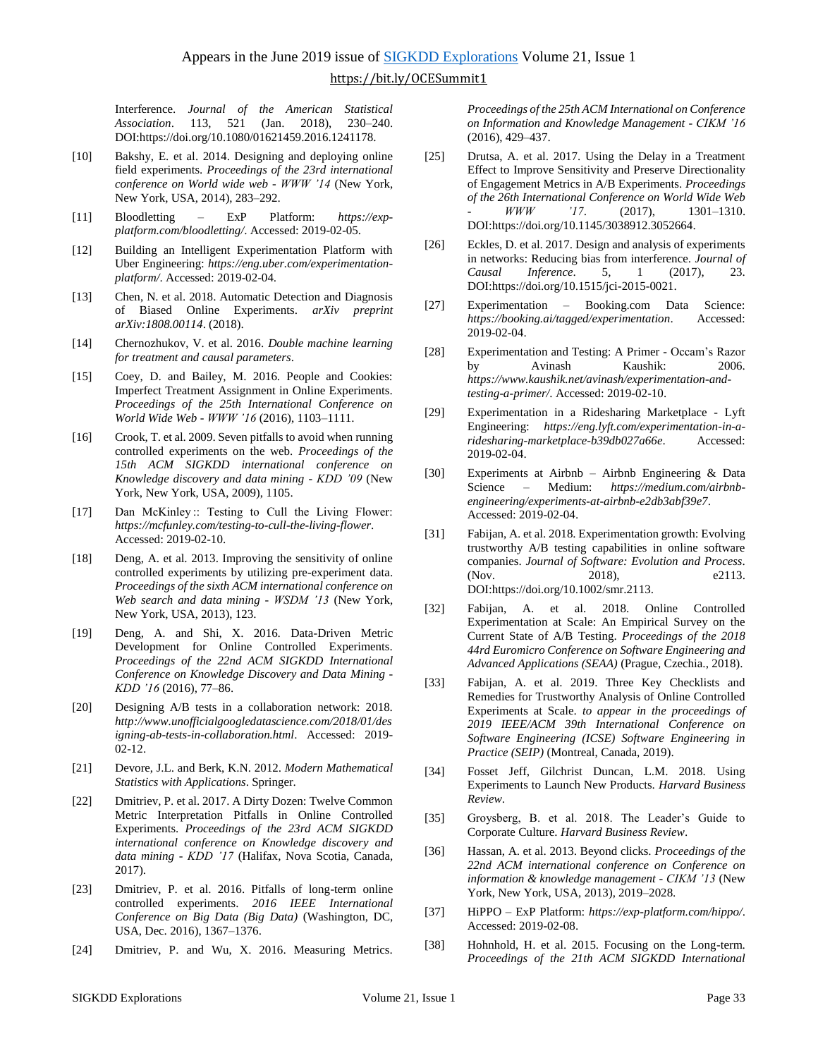Interference. *Journal of the American Statistical Association*. 113, 521 (Jan. 2018), 230–240. DOI:https://doi.org/10.1080/01621459.2016.1241178.

- [10] Bakshy, E. et al. 2014. Designing and deploying online field experiments. *Proceedings of the 23rd international conference on World wide web - WWW '14* (New York, New York, USA, 2014), 283–292.
- [11] Bloodletting ExP Platform: *https://expplatform.com/bloodletting/*. Accessed: 2019-02-05.
- [12] Building an Intelligent Experimentation Platform with Uber Engineering: *https://eng.uber.com/experimentationplatform/*. Accessed: 2019-02-04.
- [13] Chen, N. et al. 2018. Automatic Detection and Diagnosis of Biased Online Experiments. *arXiv preprint arXiv:1808.00114*. (2018).
- [14] Chernozhukov, V. et al. 2016. *Double machine learning for treatment and causal parameters*.
- [15] Coey, D. and Bailey, M. 2016. People and Cookies: Imperfect Treatment Assignment in Online Experiments. *Proceedings of the 25th International Conference on World Wide Web - WWW '16* (2016), 1103–1111.
- [16] Crook, T. et al. 2009. Seven pitfalls to avoid when running controlled experiments on the web. *Proceedings of the 15th ACM SIGKDD international conference on Knowledge discovery and data mining - KDD '09* (New York, New York, USA, 2009), 1105.
- [17] Dan McKinley :: Testing to Cull the Living Flower: *https://mcfunley.com/testing-to-cull-the-living-flower*. Accessed: 2019-02-10.
- [18] Deng, A. et al. 2013. Improving the sensitivity of online controlled experiments by utilizing pre-experiment data. *Proceedings of the sixth ACM international conference on Web search and data mining - WSDM '13* (New York, New York, USA, 2013), 123.
- [19] Deng, A. and Shi, X. 2016. Data-Driven Metric Development for Online Controlled Experiments. *Proceedings of the 22nd ACM SIGKDD International Conference on Knowledge Discovery and Data Mining - KDD '16* (2016), 77–86.
- [20] Designing A/B tests in a collaboration network: 2018. *http://www.unofficialgoogledatascience.com/2018/01/des igning-ab-tests-in-collaboration.html*. Accessed: 2019- 02-12.
- [21] Devore, J.L. and Berk, K.N. 2012. *Modern Mathematical Statistics with Applications*. Springer.
- [22] Dmitriev, P. et al. 2017. A Dirty Dozen: Twelve Common Metric Interpretation Pitfalls in Online Controlled Experiments. *Proceedings of the 23rd ACM SIGKDD international conference on Knowledge discovery and data mining - KDD '17* (Halifax, Nova Scotia, Canada, 2017).
- [23] Dmitriev, P. et al. 2016. Pitfalls of long-term online controlled experiments. *2016 IEEE International Conference on Big Data (Big Data)* (Washington, DC, USA, Dec. 2016), 1367–1376.
- [24] Dmitriev, P. and Wu, X. 2016. Measuring Metrics.

*Proceedings of the 25th ACM International on Conference on Information and Knowledge Management - CIKM '16* (2016), 429–437.

- [25] Drutsa, A. et al. 2017. Using the Delay in a Treatment Effect to Improve Sensitivity and Preserve Directionality of Engagement Metrics in A/B Experiments. *Proceedings of the 26th International Conference on World Wide Web - WWW '17*. (2017), 1301–1310. DOI:https://doi.org/10.1145/3038912.3052664.
- [26] Eckles, D. et al. 2017. Design and analysis of experiments in networks: Reducing bias from interference. *Journal of Causal Inference*. 5, 1 (2017), 23. DOI:https://doi.org/10.1515/jci-2015-0021.
- [27] Experimentation Booking.com Data Science: *https://booking.ai/tagged/experimentation*. Accessed: 2019-02-04.
- [28] Experimentation and Testing: A Primer Occam's Razor by Avinash Kaushik: 2006. *https://www.kaushik.net/avinash/experimentation-andtesting-a-primer/*. Accessed: 2019-02-10.
- [29] Experimentation in a Ridesharing Marketplace Lyft Engineering: *https://eng.lyft.com/experimentation-in-aridesharing-marketplace-b39db027a66e*. Accessed: 2019-02-04.
- [30] Experiments at Airbnb Airbnb Engineering & Data Science – Medium: *https://medium.com/airbnbengineering/experiments-at-airbnb-e2db3abf39e7*. Accessed: 2019-02-04.
- [31] Fabijan, A. et al. 2018. Experimentation growth: Evolving trustworthy A/B testing capabilities in online software companies. *Journal of Software: Evolution and Process*. (Nov. 2018), e2113. DOI:https://doi.org/10.1002/smr.2113.
- [32] Fabijan, A. et al. 2018. Online Controlled Experimentation at Scale: An Empirical Survey on the Current State of A/B Testing. *Proceedings of the 2018 44rd Euromicro Conference on Software Engineering and Advanced Applications (SEAA)* (Prague, Czechia., 2018).
- [33] Fabijan, A. et al. 2019. Three Key Checklists and Remedies for Trustworthy Analysis of Online Controlled Experiments at Scale. *to appear in the proceedings of 2019 IEEE/ACM 39th International Conference on Software Engineering (ICSE) Software Engineering in Practice (SEIP)* (Montreal, Canada, 2019).
- [34] Fosset Jeff, Gilchrist Duncan, L.M. 2018. Using Experiments to Launch New Products. *Harvard Business Review*.
- [35] Groysberg, B. et al. 2018. The Leader's Guide to Corporate Culture. *Harvard Business Review*.
- [36] Hassan, A. et al. 2013. Beyond clicks. *Proceedings of the 22nd ACM international conference on Conference on information & knowledge management - CIKM '13* (New York, New York, USA, 2013), 2019–2028.
- [37] HiPPO ExP Platform: *https://exp-platform.com/hippo/*. Accessed: 2019-02-08.
- [38] Hohnhold, H. et al. 2015. Focusing on the Long-term. *Proceedings of the 21th ACM SIGKDD International*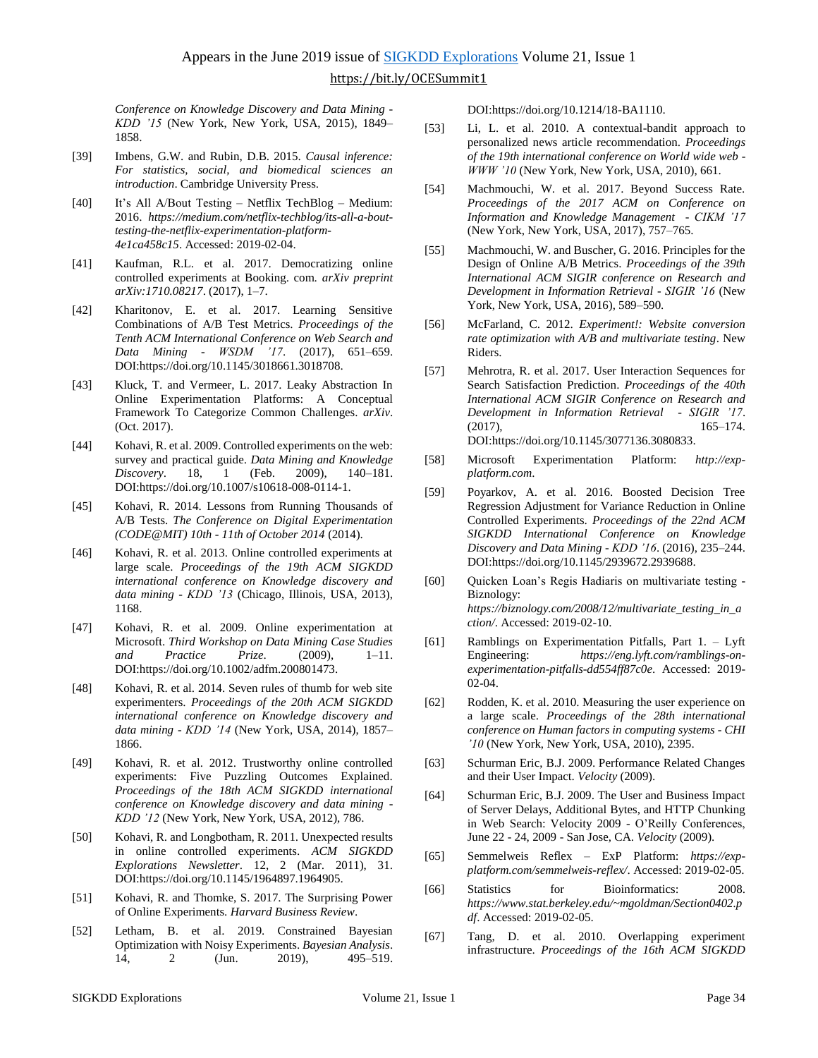*Conference on Knowledge Discovery and Data Mining - KDD '15* (New York, New York, USA, 2015), 1849– 1858.

- [39] Imbens, G.W. and Rubin, D.B. 2015. *Causal inference: For statistics, social, and biomedical sciences an introduction*. Cambridge University Press.
- [40] It's All A/Bout Testing Netflix TechBlog Medium: 2016. *https://medium.com/netflix-techblog/its-all-a-bouttesting-the-netflix-experimentation-platform-4e1ca458c15*. Accessed: 2019-02-04.
- [41] Kaufman, R.L. et al. 2017. Democratizing online controlled experiments at Booking. com. *arXiv preprint arXiv:1710.08217*. (2017), 1–7.
- [42] Kharitonov, E. et al. 2017. Learning Sensitive Combinations of A/B Test Metrics. *Proceedings of the Tenth ACM International Conference on Web Search and Data Mining - WSDM '17*. (2017), 651–659. DOI:https://doi.org/10.1145/3018661.3018708.
- [43] Kluck, T. and Vermeer, L. 2017. Leaky Abstraction In Online Experimentation Platforms: A Conceptual Framework To Categorize Common Challenges. *arXiv*. (Oct. 2017).
- [44] Kohavi, R. et al. 2009. Controlled experiments on the web: survey and practical guide. *Data Mining and Knowledge Discovery*. 18, 1 (Feb. 2009), 140–181. DOI:https://doi.org/10.1007/s10618-008-0114-1.
- [45] Kohavi, R. 2014. Lessons from Running Thousands of A/B Tests. *The Conference on Digital Experimentation (CODE@MIT) 10th - 11th of October 2014* (2014).
- [46] Kohavi, R. et al. 2013. Online controlled experiments at large scale. *Proceedings of the 19th ACM SIGKDD international conference on Knowledge discovery and data mining - KDD '13* (Chicago, Illinois, USA, 2013), 1168.
- [47] Kohavi, R. et al. 2009. Online experimentation at Microsoft. *Third Workshop on Data Mining Case Studies and Practice Prize*. (2009), 1–11. DOI:https://doi.org/10.1002/adfm.200801473.
- [48] Kohavi, R. et al. 2014. Seven rules of thumb for web site experimenters. *Proceedings of the 20th ACM SIGKDD international conference on Knowledge discovery and data mining - KDD '14* (New York, USA, 2014), 1857– 1866.
- [49] Kohavi, R. et al. 2012. Trustworthy online controlled experiments: Five Puzzling Outcomes Explained. *Proceedings of the 18th ACM SIGKDD international conference on Knowledge discovery and data mining - KDD '12* (New York, New York, USA, 2012), 786.
- [50] Kohavi, R. and Longbotham, R. 2011. Unexpected results in online controlled experiments. *ACM SIGKDD Explorations Newsletter*. 12, 2 (Mar. 2011), 31. DOI:https://doi.org/10.1145/1964897.1964905.
- [51] Kohavi, R. and Thomke, S. 2017. The Surprising Power of Online Experiments. *Harvard Business Review*.
- [52] Letham, B. et al. 2019. Constrained Bayesian Optimization with Noisy Experiments. *Bayesian Analysis*. 14, 2 (Jun. 2019), 495–519.

DOI:https://doi.org/10.1214/18-BA1110.

- [53] Li, L. et al. 2010. A contextual-bandit approach to personalized news article recommendation. *Proceedings of the 19th international conference on World wide web - WWW '10* (New York, New York, USA, 2010), 661.
- [54] Machmouchi, W. et al. 2017. Beyond Success Rate. *Proceedings of the 2017 ACM on Conference on Information and Knowledge Management - CIKM '17* (New York, New York, USA, 2017), 757–765.
- [55] Machmouchi, W. and Buscher, G. 2016. Principles for the Design of Online A/B Metrics. *Proceedings of the 39th International ACM SIGIR conference on Research and Development in Information Retrieval - SIGIR '16* (New York, New York, USA, 2016), 589–590.
- [56] McFarland, C. 2012. *Experiment!: Website conversion rate optimization with A/B and multivariate testing*. New Riders.
- [57] Mehrotra, R. et al. 2017. User Interaction Sequences for Search Satisfaction Prediction. *Proceedings of the 40th International ACM SIGIR Conference on Research and Development in Information Retrieval - SIGIR '17*. (2017), 165–174. DOI:https://doi.org/10.1145/3077136.3080833.
- [58] Microsoft Experimentation Platform: *http://expplatform.com*.
- [59] Poyarkov, A. et al. 2016. Boosted Decision Tree Regression Adjustment for Variance Reduction in Online Controlled Experiments. *Proceedings of the 22nd ACM SIGKDD International Conference on Knowledge Discovery and Data Mining - KDD '16*. (2016), 235–244. DOI:https://doi.org/10.1145/2939672.2939688.
- [60] Quicken Loan's Regis Hadiaris on multivariate testing Biznology: *https://biznology.com/2008/12/multivariate\_testing\_in\_a ction/*. Accessed: 2019-02-10.
- [61] Ramblings on Experimentation Pitfalls, Part 1. Lyft Engineering: *https://eng.lyft.com/ramblings-onexperimentation-pitfalls-dd554ff87c0e*. Accessed: 2019- 02-04.
- [62] Rodden, K. et al. 2010. Measuring the user experience on a large scale. *Proceedings of the 28th international conference on Human factors in computing systems - CHI '10* (New York, New York, USA, 2010), 2395.
- [63] Schurman Eric, B.J. 2009. Performance Related Changes and their User Impact. *Velocity* (2009).
- [64] Schurman Eric, B.J. 2009. The User and Business Impact of Server Delays, Additional Bytes, and HTTP Chunking in Web Search: Velocity 2009 - O'Reilly Conferences, June 22 - 24, 2009 - San Jose, CA. *Velocity* (2009).
- [65] Semmelweis Reflex ExP Platform: *https://expplatform.com/semmelweis-reflex/*. Accessed: 2019-02-05.
- [66] Statistics for Bioinformatics: 2008. *https://www.stat.berkeley.edu/~mgoldman/Section0402.p df*. Accessed: 2019-02-05.
- [67] Tang, D. et al. 2010. Overlapping experiment infrastructure. *Proceedings of the 16th ACM SIGKDD*